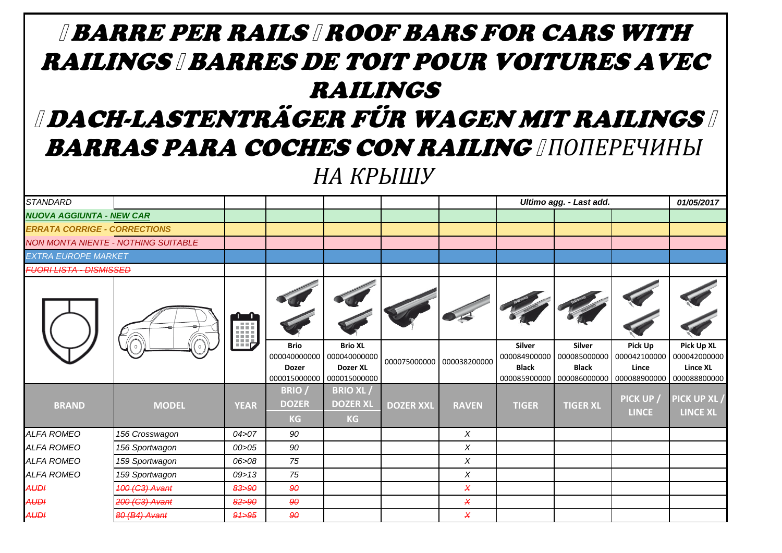## *BARRE PER RAILS ROOF BARS FOR CARS WITH RAILINGS | BARRES DE TOIT POUR VOITURES AVEC* RAILINGS *|| DACH-LASTENTRÄGER FÜR WAGEN MIT RAILINGS ||* **BARRAS PARA COCHES CON RAILING // ПОПЕРЕЧИНЫ** *НА КРЫШУ Ultimo agg. - Last add. STANDARD 01/05/2017 NUOVA AGGIUNTA - NEW CAR ERRATA CORRIGE - CORRECTIONS NON MONTA NIENTE - NOTHING SUITABLE EXTRA EUROPE MARKET FUORI LISTA - DISMISSED* ₩ **Brio Brio XL Silver Silver Pick Up Pick Up XL**  000040000000 000040000000 000084900000 000085000000 000042100000 000042000000 000075000000 000038200000 **Dozer Dozer XL Black Black Lince Lince XL**  000015000000 000015000000 000085900000 000086000000 000088900000 000088800000 **BRIO / BRIO XL / PICK UP / PICK UP XL DOZER DOZER XL BRAND MODEL YEAR DOZER XXL RAVEN TIGER TIGER XL LINCE LINCE XL KG KG** *ALFA ROMEO 156 Crosswagon 04>07 90 X ALFA ROMEO 156 Sportwagon 00>05 90 X ALFA ROMEO 159 Sportwagon 06>08 75 X ALFA ROMEO 159 Sportwagon 09>13 75 X AUDI 100 (C3) Avant 83>90 90 X AUDI 200 (C3) Avant 82>90 90 X AUDI 80 (B4) Avant 91>95 90 X*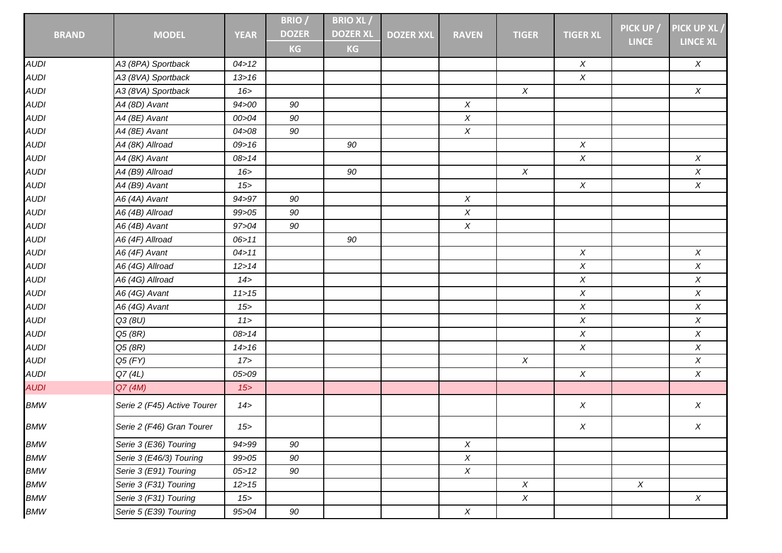|              |                             |                    | <b>BRIO</b> / | <b>BRIO XL/</b> |                  |                  |              |                  |              |                           |
|--------------|-----------------------------|--------------------|---------------|-----------------|------------------|------------------|--------------|------------------|--------------|---------------------------|
| <b>BRAND</b> | <b>MODEL</b>                | <b>YEAR</b>        | <b>DOZER</b>  | <b>DOZER XL</b> | <b>DOZER XXL</b> | <b>RAVEN</b>     | <b>TIGER</b> | <b>TIGER XL</b>  | PICK UP /    | PICK UP XL /              |
|              |                             |                    | KG            | KG              |                  |                  |              |                  | <b>LINCE</b> | <b>LINCE XL</b>           |
| <b>AUDI</b>  | A3 (8PA) Sportback          | 04 > 12            |               |                 |                  |                  |              | $\chi$           |              | $\chi$                    |
| <b>AUDI</b>  | A3 (8VA) Sportback          | 13 > 16            |               |                 |                  |                  |              | $\chi$           |              |                           |
| <b>AUDI</b>  | A3 (8VA) Sportback          | 16 <sub>5</sub>    |               |                 |                  |                  | $\chi$       |                  |              | $\chi$                    |
| <b>AUDI</b>  | A4 (8D) Avant               | 94 > 00            | 90            |                 |                  | $\chi$           |              |                  |              |                           |
| <b>AUDI</b>  | A4 (8E) Avant               | 00 > 04            | 90            |                 |                  | $\chi$           |              |                  |              |                           |
| <b>AUDI</b>  | A4 (8E) Avant               | 04 > 08            | 90            |                 |                  | $\chi$           |              |                  |              |                           |
| <b>AUDI</b>  | A4 (8K) Allroad             | 09 > 16            |               | 90              |                  |                  |              | $\chi$           |              |                           |
| <b>AUDI</b>  | A4 (8K) Avant               | 08 > 14            |               |                 |                  |                  |              | $\chi$           |              | $\chi$                    |
| <b>AUDI</b>  | A4 (B9) Allroad             | 16 <sub>5</sub>    |               | 90              |                  |                  | $\chi$       |                  |              | $\chi$                    |
| <b>AUDI</b>  | A4 (B9) Avant               | 15 <sub>2</sub>    |               |                 |                  |                  |              | $\chi$           |              | $\chi$                    |
| <b>AUDI</b>  | A6 (4A) Avant               | 94>97              | 90            |                 |                  | $\chi$           |              |                  |              |                           |
| <b>AUDI</b>  | A6 (4B) Allroad             | 99 > 05            | 90            |                 |                  | $\chi$           |              |                  |              |                           |
| <b>AUDI</b>  | A6 (4B) Avant               | 97>04              | 90            |                 |                  | $\chi$           |              |                  |              |                           |
| <b>AUDI</b>  | A6 (4F) Allroad             | 06 > 11            |               | 90              |                  |                  |              |                  |              |                           |
| <b>AUDI</b>  | A6 (4F) Avant               | 04 > 11            |               |                 |                  |                  |              | $\chi$           |              | $\chi$                    |
| <b>AUDI</b>  | A6 (4G) Allroad             | 12 > 14            |               |                 |                  |                  |              | $\chi$           |              | $\chi$                    |
| <b>AUDI</b>  | A6 (4G) Allroad             | 14 >               |               |                 |                  |                  |              | $\chi$           |              | $\chi$                    |
| <b>AUDI</b>  | A6 (4G) Avant               | 11 > 15            |               |                 |                  |                  |              | $\boldsymbol{X}$ |              | $\chi$                    |
| <b>AUDI</b>  | A6 (4G) Avant               | 15 <sub>2</sub>    |               |                 |                  |                  |              | $\boldsymbol{X}$ |              | $\boldsymbol{\mathsf{X}}$ |
| <b>AUDI</b>  | Q3(8U)                      | 11                 |               |                 |                  |                  |              | $\boldsymbol{X}$ |              | $\chi$                    |
| <b>AUDI</b>  | Q5(8R)                      | 08 > 14            |               |                 |                  |                  |              | $\boldsymbol{X}$ |              | $\chi$                    |
| <b>AUDI</b>  | Q5(8R)                      | 14 > 16            |               |                 |                  |                  |              | $\boldsymbol{X}$ |              | $\chi$                    |
| <b>AUDI</b>  | $Q5$ (FY)                   | 17                 |               |                 |                  |                  | $\chi$       |                  |              | $\chi$                    |
| <b>AUDI</b>  | Q7(4L)                      | 05>09              |               |                 |                  |                  |              | $\chi$           |              | $\chi$                    |
| <b>AUDI</b>  | Q7 (4M)                     | 15 <sub>2</sub>    |               |                 |                  |                  |              |                  |              |                           |
| <b>BMW</b>   | Serie 2 (F45) Active Tourer | 14 >               |               |                 |                  |                  |              | $\chi$           |              | $\chi$                    |
| <b>BMW</b>   | Serie 2 (F46) Gran Tourer   | 15 <sub>2</sub>    |               |                 |                  |                  |              | $\chi$           |              | $\chi$                    |
| <b>BMW</b>   | Serie 3 (E36) Touring       | 94>99              | 90            |                 |                  | $\chi$           |              |                  |              |                           |
| <b>BMW</b>   | Serie 3 (E46/3) Touring     | 99 > 05            | 90            |                 |                  | $\boldsymbol{X}$ |              |                  |              |                           |
| <b>BMW</b>   | Serie 3 (E91) Touring       | 05 > 12            | 90            |                 |                  | $\chi$           |              |                  |              |                           |
| <b>BMW</b>   | Serie 3 (F31) Touring       | 12 > 15            |               |                 |                  |                  | $\chi$       |                  | $\chi$       |                           |
| <b>BMW</b>   | Serie 3 (F31) Touring       | 15 <sub>&gt;</sub> |               |                 |                  |                  | $\chi$       |                  |              | $\chi$                    |
| <b>BMW</b>   | Serie 5 (E39) Touring       | 95 > 04            | 90            |                 |                  | $\chi$           |              |                  |              |                           |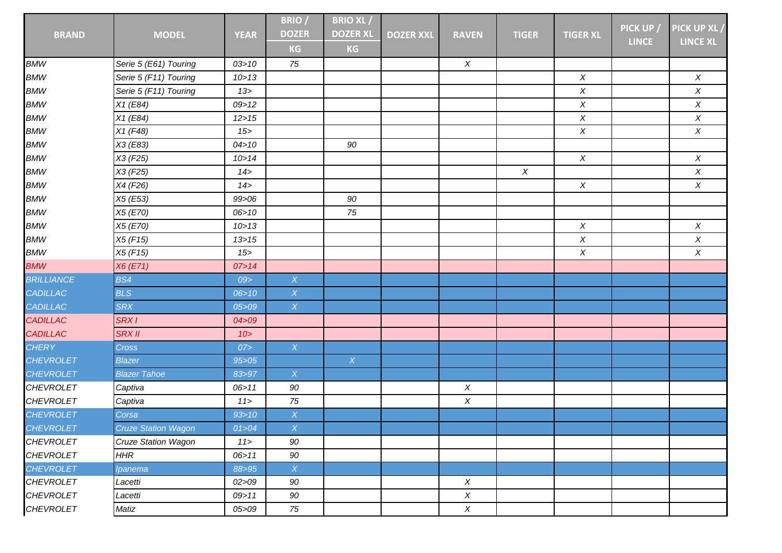|                   |                            |                    | BRIO/            | <b>BRIO XL</b>            |                  |              |              |                  |              |                 |
|-------------------|----------------------------|--------------------|------------------|---------------------------|------------------|--------------|--------------|------------------|--------------|-----------------|
| <b>BRAND</b>      | <b>MODEL</b>               | <b>YEAR</b>        | <b>DOZER</b>     | <b>DOZER XL</b>           | <b>DOZER XXL</b> | <b>RAVEN</b> | <b>TIGER</b> | <b>TIGER XL</b>  | PICK UP /    | PICK UP XL      |
|                   |                            |                    | KG               | KG                        |                  |              |              |                  | <b>LINCE</b> | <b>LINCE XL</b> |
| <b>BMW</b>        | Serie 5 (E61) Touring      | 03 > 10            | 75               |                           |                  | $\chi$       |              |                  |              |                 |
| <b>BMW</b>        | Serie 5 (F11) Touring      | 10 > 13            |                  |                           |                  |              |              | $\chi$           |              | $\chi$          |
| <b>BMW</b>        | Serie 5 (F11) Touring      | 13 >               |                  |                           |                  |              |              | $\boldsymbol{X}$ |              | $\chi$          |
| <b>BMW</b>        | X1 (E84)                   | 09 > 12            |                  |                           |                  |              |              | $\chi$           |              | $\chi$          |
| <b>BMW</b>        | X1 (E84)                   | 12 > 15            |                  |                           |                  |              |              | $\boldsymbol{X}$ |              | $\chi$          |
| <b>BMW</b>        | X1 (F48)                   | 15                 |                  |                           |                  |              |              | $\boldsymbol{X}$ |              | $\chi$          |
| <b>BMW</b>        | X3 (E83)                   | 04 > 10            |                  | 90                        |                  |              |              |                  |              |                 |
| <b>BMW</b>        | X3 (F25)                   | 10 > 14            |                  |                           |                  |              |              | $\chi$           |              | $\chi$          |
| <b>BMW</b>        | X3 (F25)                   | 14 >               |                  |                           |                  |              | $\chi$       |                  |              | $\chi$          |
| <b>BMW</b>        | X4 (F26)                   | 14 >               |                  |                           |                  |              |              | $\chi$           |              | $\chi$          |
| <b>BMW</b>        | X5 (E53)                   | 99>06              |                  | 90                        |                  |              |              |                  |              |                 |
| <b>BMW</b>        | X5 (E70)                   | 06 > 10            |                  | 75                        |                  |              |              |                  |              |                 |
| <b>BMW</b>        | X5 (E70)                   | 10 > 13            |                  |                           |                  |              |              | $\boldsymbol{X}$ |              | $\chi$          |
| <b>BMW</b>        | X5 (F15)                   | 13 > 15            |                  |                           |                  |              |              | $\boldsymbol{X}$ |              | $\chi$          |
| <b>BMW</b>        | X5 (F15)                   | 15                 |                  |                           |                  |              |              | $\boldsymbol{X}$ |              | $\chi$          |
| <b>BMW</b>        | X6(E71)                    | 07 > 14            |                  |                           |                  |              |              |                  |              |                 |
| <b>BRILLIANCE</b> | BS4                        | 09 >               | $\boldsymbol{X}$ |                           |                  |              |              |                  |              |                 |
| CADILLAC          | <b>BLS</b>                 | 06 > 10            | $\boldsymbol{X}$ |                           |                  |              |              |                  |              |                 |
| CADILLAC          | <b>SRX</b>                 | 05 > 09            | $\boldsymbol{X}$ |                           |                  |              |              |                  |              |                 |
| <b>CADILLAC</b>   | SRX I                      | 04 > 09            |                  |                           |                  |              |              |                  |              |                 |
| <b>CADILLAC</b>   | <b>SRX II</b>              | 10 <sub>&gt;</sub> |                  |                           |                  |              |              |                  |              |                 |
| <b>CHERY</b>      | Cross                      | 07 >               | $\vert X \vert$  |                           |                  |              |              |                  |              |                 |
| <b>CHEVROLET</b>  | <b>Blazer</b>              | 95 > 05            |                  | $\boldsymbol{\mathsf{X}}$ |                  |              |              |                  |              |                 |
| <b>CHEVROLET</b>  | <b>Blazer Tahoe</b>        | 83>97              | $\boldsymbol{X}$ |                           |                  |              |              |                  |              |                 |
| <b>CHEVROLET</b>  | Captiva                    | 06 > 11            | 90               |                           |                  | $\chi$       |              |                  |              |                 |
| <b>CHEVROLET</b>  | Captiva                    | 11                 | 75               |                           |                  | $\chi$       |              |                  |              |                 |
| <b>CHEVROLET</b>  | Corsa                      | 93 > 10            | $\boldsymbol{X}$ |                           |                  |              |              |                  |              |                 |
| <b>CHEVROLET</b>  | <b>Cruze Station Wagon</b> | 01 > 04            | $\chi$           |                           |                  |              |              |                  |              |                 |
| <b>CHEVROLET</b>  | <b>Cruze Station Wagon</b> | 11                 | 90               |                           |                  |              |              |                  |              |                 |
| <b>CHEVROLET</b>  | <b>HHR</b>                 | 06 > 11            | 90               |                           |                  |              |              |                  |              |                 |
| <b>CHEVROLET</b>  | Ipanema                    | 88>95              | $\boldsymbol{X}$ |                           |                  |              |              |                  |              |                 |
| <b>CHEVROLET</b>  | Lacetti                    | 02 > 09            | 90               |                           |                  | $\chi$       |              |                  |              |                 |
| <b>CHEVROLET</b>  | Lacetti                    | 09 > 11            | 90               |                           |                  | $\chi$       |              |                  |              |                 |
| <b>CHEVROLET</b>  | Matiz                      | 05 > 09            | 75               |                           |                  | $\chi$       |              |                  |              |                 |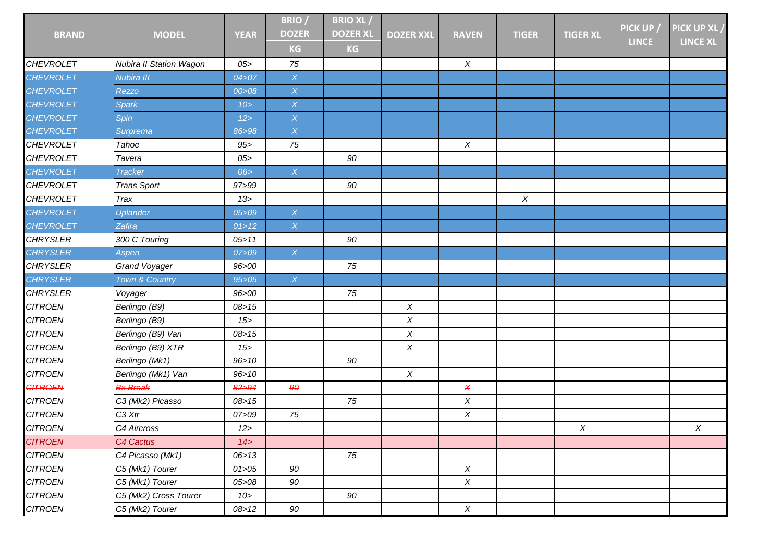|                  |                           |                    | BRIO /                    | <b>BRIO XL/</b> |                  |                  |              |                 |              |                 |
|------------------|---------------------------|--------------------|---------------------------|-----------------|------------------|------------------|--------------|-----------------|--------------|-----------------|
| <b>BRAND</b>     | <b>MODEL</b>              | <b>YEAR</b>        | <b>DOZER</b>              | <b>DOZER XL</b> | <b>DOZER XXL</b> | <b>RAVEN</b>     | <b>TIGER</b> | <b>TIGER XL</b> | PICK UP /    | PICK UP XL /    |
|                  |                           |                    | <b>KG</b>                 | KG              |                  |                  |              |                 | <b>LINCE</b> | <b>LINCE XL</b> |
| <b>CHEVROLET</b> | Nubira II Station Wagon   | 05 >               | 75                        |                 |                  | $\chi$           |              |                 |              |                 |
| <b>CHEVROLET</b> | Nubira III                | 04 > 07            | $\boldsymbol{X}$          |                 |                  |                  |              |                 |              |                 |
| <b>CHEVROLET</b> | Rezzo                     | 00 > 08            | $\boldsymbol{X}$          |                 |                  |                  |              |                 |              |                 |
| <b>CHEVROLET</b> | <b>Spark</b>              | 10 <sub>&gt;</sub> | $\boldsymbol{X}$          |                 |                  |                  |              |                 |              |                 |
| <b>CHEVROLET</b> | Spin                      | 12>                | $\boldsymbol{\mathsf{X}}$ |                 |                  |                  |              |                 |              |                 |
| <b>CHEVROLET</b> | <b>Surprema</b>           | 86>98              | $\chi$                    |                 |                  |                  |              |                 |              |                 |
| <b>CHEVROLET</b> | Tahoe                     | 95 >               | 75                        |                 |                  | $\chi$           |              |                 |              |                 |
| <b>CHEVROLET</b> | Tavera                    | 05 >               |                           | 90              |                  |                  |              |                 |              |                 |
| <b>CHEVROLET</b> | <b>Tracker</b>            | 06 >               | $\chi$                    |                 |                  |                  |              |                 |              |                 |
| <b>CHEVROLET</b> | <b>Trans Sport</b>        | 97>99              |                           | 90              |                  |                  |              |                 |              |                 |
| <b>CHEVROLET</b> | Trax                      | 13 >               |                           |                 |                  |                  | $\chi$       |                 |              |                 |
| <b>CHEVROLET</b> | <b>Uplander</b>           | 05 > 09            | $\boldsymbol{X}$          |                 |                  |                  |              |                 |              |                 |
| <b>CHEVROLET</b> | Zafira                    | 01 > 12            | $\boldsymbol{X}$          |                 |                  |                  |              |                 |              |                 |
| <b>CHRYSLER</b>  | 300 C Touring             | 05 > 11            |                           | 90              |                  |                  |              |                 |              |                 |
| <b>CHRYSLER</b>  | Aspen                     | 07 > 09            | $\boldsymbol{X}$          |                 |                  |                  |              |                 |              |                 |
| <b>CHRYSLER</b>  | <b>Grand Voyager</b>      | 96>00              |                           | 75              |                  |                  |              |                 |              |                 |
| <b>CHRYSLER</b>  | <b>Town &amp; Country</b> | 95 > 05            | $\boldsymbol{X}$          |                 |                  |                  |              |                 |              |                 |
| <b>CHRYSLER</b>  | Voyager                   | 96>00              |                           | 75              |                  |                  |              |                 |              |                 |
| <b>CITROEN</b>   | Berlingo (B9)             | 08 > 15            |                           |                 | $\chi$           |                  |              |                 |              |                 |
| <b>CITROEN</b>   | Berlingo (B9)             | 15 <sub>2</sub>    |                           |                 | $\chi$           |                  |              |                 |              |                 |
| <b>CITROEN</b>   | Berlingo (B9) Van         | 08 > 15            |                           |                 | $\chi$           |                  |              |                 |              |                 |
| <b>CITROEN</b>   | Berlingo (B9) XTR         | 15                 |                           |                 | $\chi$           |                  |              |                 |              |                 |
| <b>CITROEN</b>   | Berlingo (Mk1)            | 96 > 10            |                           | 90              |                  |                  |              |                 |              |                 |
| <b>CITROEN</b>   | Berlingo (Mk1) Van        | 96 > 10            |                           |                 | $\chi$           |                  |              |                 |              |                 |
| <b>CITROEN</b>   | <b>Bx Break</b>           | 82 > 94            | 90                        |                 |                  | $\pmb{\times}$   |              |                 |              |                 |
| <b>CITROEN</b>   | C3 (Mk2) Picasso          | 08 > 15            |                           | 75              |                  | $\chi$           |              |                 |              |                 |
| <b>CITROEN</b>   | C3 Xtr                    | 07>09              | 75                        |                 |                  | $\chi$           |              |                 |              |                 |
| <b>CITROEN</b>   | C4 Aircross               | 12>                |                           |                 |                  |                  |              | $\chi$          |              | $\chi$          |
| <b>CITROEN</b>   | C4 Cactus                 | 14                 |                           |                 |                  |                  |              |                 |              |                 |
| <b>CITROEN</b>   | C4 Picasso (Mk1)          | 06 > 13            |                           | 75              |                  |                  |              |                 |              |                 |
| <b>CITROEN</b>   | C5 (Mk1) Tourer           | 01 > 05            | 90                        |                 |                  | $\chi$           |              |                 |              |                 |
| <b>CITROEN</b>   | C5 (Mk1) Tourer           | 05 > 08            | 90                        |                 |                  | $\chi$           |              |                 |              |                 |
| <b>CITROEN</b>   | C5 (Mk2) Cross Tourer     | 10 >               |                           | 90              |                  |                  |              |                 |              |                 |
| <b>CITROEN</b>   | C5 (Mk2) Tourer           | 08 > 12            | 90                        |                 |                  | $\boldsymbol{X}$ |              |                 |              |                 |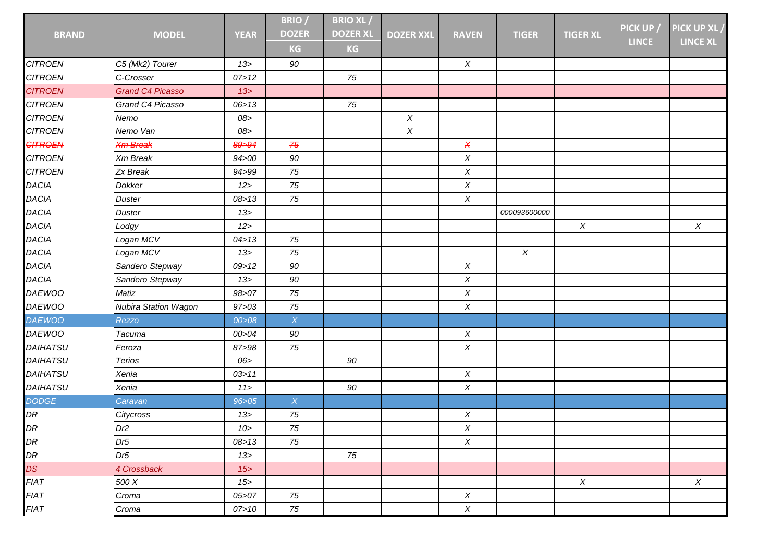|                 |                             |                 | BRIO /           | <b>BRIO XL/</b> |                  |                  |              |                 |              |                 |
|-----------------|-----------------------------|-----------------|------------------|-----------------|------------------|------------------|--------------|-----------------|--------------|-----------------|
| <b>BRAND</b>    | <b>MODEL</b>                | <b>YEAR</b>     | <b>DOZER</b>     | <b>DOZER XL</b> | <b>DOZER XXL</b> | <b>RAVEN</b>     | <b>TIGER</b> | <b>TIGER XL</b> | PICK UP /    | PICK UP XL      |
|                 |                             |                 | KG               | KG              |                  |                  |              |                 | <b>LINCE</b> | <b>LINCE XL</b> |
| <b>CITROEN</b>  | C5 (Mk2) Tourer             | 13 >            | 90               |                 |                  | $\chi$           |              |                 |              |                 |
| <b>CITROEN</b>  | C-Crosser                   | 07 > 12         |                  | 75              |                  |                  |              |                 |              |                 |
| <b>CITROEN</b>  | <b>Grand C4 Picasso</b>     | 13 >            |                  |                 |                  |                  |              |                 |              |                 |
| <b>CITROEN</b>  | Grand C4 Picasso            | 06 > 13         |                  | 75              |                  |                  |              |                 |              |                 |
| <b>CITROEN</b>  | Nemo                        | 08>             |                  |                 | $\chi$           |                  |              |                 |              |                 |
| <b>CITROEN</b>  | Nemo Van                    | 08>             |                  |                 | $\chi$           |                  |              |                 |              |                 |
| <b>CITROEN</b>  | <b>Xm Break</b>             | 89>94           | 75               |                 |                  | $\pmb{\times}$   |              |                 |              |                 |
| <b>CITROEN</b>  | Xm Break                    | 94 > 00         | 90               |                 |                  | $\chi$           |              |                 |              |                 |
| <b>CITROEN</b>  | Zx Break                    | 94>99           | 75               |                 |                  | $\chi$           |              |                 |              |                 |
| DACIA           | Dokker                      | 12>             | 75               |                 |                  | $\chi$           |              |                 |              |                 |
| DACIA           | Duster                      | 08 > 13         | 75               |                 |                  | $\chi$           |              |                 |              |                 |
| DACIA           | <b>Duster</b>               | 13 >            |                  |                 |                  |                  | 000093600000 |                 |              |                 |
| DACIA           | Lodgy                       | 12 >            |                  |                 |                  |                  |              | $\chi$          |              | $\chi$          |
| DACIA           | Logan MCV                   | 04 > 13         | 75               |                 |                  |                  |              |                 |              |                 |
| DACIA           | Logan MCV                   | 13 >            | 75               |                 |                  |                  | $\chi$       |                 |              |                 |
| DACIA           | Sandero Stepway             | 09 > 12         | 90               |                 |                  | $\chi$           |              |                 |              |                 |
| DACIA           | Sandero Stepway             | 13 >            | 90               |                 |                  | $\chi$           |              |                 |              |                 |
| <b>DAEWOO</b>   | Matiz                       | 98>07           | 75               |                 |                  | $\chi$           |              |                 |              |                 |
| <b>DAEWOO</b>   | <b>Nubira Station Wagon</b> | 97 > 03         | 75               |                 |                  | $\chi$           |              |                 |              |                 |
| <b>DAEWOO</b>   | Rezzo                       | 00 > 08         | $\boldsymbol{X}$ |                 |                  |                  |              |                 |              |                 |
| <b>DAEWOO</b>   | Tacuma                      | 00 > 04         | 90               |                 |                  | $\chi$           |              |                 |              |                 |
| <b>DAIHATSU</b> | Feroza                      | 87>98           | 75               |                 |                  | $\chi$           |              |                 |              |                 |
| <b>DAIHATSU</b> | <b>Terios</b>               | 06>             |                  | 90              |                  |                  |              |                 |              |                 |
| <b>DAIHATSU</b> | Xenia                       | 03 > 11         |                  |                 |                  | $\chi$           |              |                 |              |                 |
| <b>DAIHATSU</b> | Xenia                       | 11              |                  | 90              |                  | $\chi$           |              |                 |              |                 |
| <b>DODGE</b>    | Caravan                     | 96 > 05         | $\boldsymbol{X}$ |                 |                  |                  |              |                 |              |                 |
| DR              | Citycross                   | 13 >            | 75               |                 |                  | $\chi$           |              |                 |              |                 |
| ${\cal D}R$     | Dr <sub>2</sub>             | 10 >            | 75               |                 |                  | $\boldsymbol{X}$ |              |                 |              |                 |
| ${\cal D}R$     | Dr <sub>5</sub>             | 08 > 13         | 75               |                 |                  | $\chi$           |              |                 |              |                 |
| DR              | Dr5                         | 13 >            |                  | 75              |                  |                  |              |                 |              |                 |
| <b>DS</b>       | 4 Crossback                 | 15 <sub>2</sub> |                  |                 |                  |                  |              |                 |              |                 |
| <b>FIAT</b>     | 500 X                       | 15              |                  |                 |                  |                  |              | $\chi$          |              | $\chi$          |
| <b>FIAT</b>     | Croma                       | 05 > 07         | 75               |                 |                  | $\chi$           |              |                 |              |                 |
| <b>FIAT</b>     | Croma                       | 07 > 10         | 75               |                 |                  | $\boldsymbol{X}$ |              |                 |              |                 |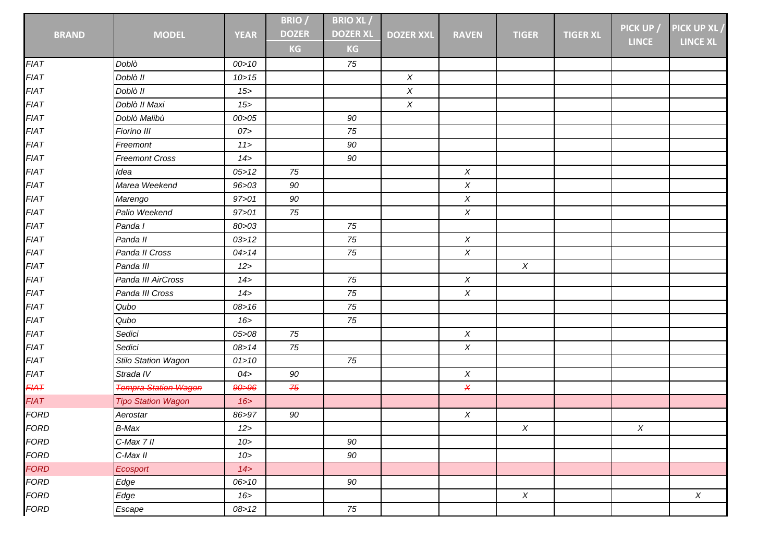|              |                           |                 | BRIO /       | <b>BRIO XL/</b> |                  |                |              |                 |                |                 |
|--------------|---------------------------|-----------------|--------------|-----------------|------------------|----------------|--------------|-----------------|----------------|-----------------|
| <b>BRAND</b> | <b>MODEL</b>              | <b>YEAR</b>     | <b>DOZER</b> | <b>DOZER XL</b> | <b>DOZER XXL</b> | <b>RAVEN</b>   | <b>TIGER</b> | <b>TIGER XL</b> | <b>PICK UP</b> | PICK UP XL /    |
|              |                           |                 | KG           | KG              |                  |                |              |                 | <b>LINCE</b>   | <b>LINCE XL</b> |
| <b>FIAT</b>  | Doblò                     | 00 > 10         |              | 75              |                  |                |              |                 |                |                 |
| <b>FIAT</b>  | Doblò II                  | 10 > 15         |              |                 | $\chi$           |                |              |                 |                |                 |
| <b>FIAT</b>  | Doblò II                  | 15 <sub>2</sub> |              |                 | $\chi$           |                |              |                 |                |                 |
| <b>FIAT</b>  | Doblò II Maxi             | 15 <sub>2</sub> |              |                 | $\chi$           |                |              |                 |                |                 |
| <b>FIAT</b>  | Doblò Malibù              | 00 > 05         |              | 90              |                  |                |              |                 |                |                 |
| <b>FIAT</b>  | Fiorino III               | 07 >            |              | 75              |                  |                |              |                 |                |                 |
| <b>FIAT</b>  | Freemont                  | 11              |              | 90              |                  |                |              |                 |                |                 |
| <b>FIAT</b>  | <b>Freemont Cross</b>     | 14 >            |              | 90              |                  |                |              |                 |                |                 |
| <b>FIAT</b>  | Idea                      | 05 > 12         | 75           |                 |                  | $\chi$         |              |                 |                |                 |
| <b>FIAT</b>  | Marea Weekend             | 96 > 03         | 90           |                 |                  | $\chi$         |              |                 |                |                 |
| <b>FIAT</b>  | Marengo                   | 97 > 01         | 90           |                 |                  | $\chi$         |              |                 |                |                 |
| <b>FIAT</b>  | Palio Weekend             | 97 > 01         | 75           |                 |                  | $\chi$         |              |                 |                |                 |
| <b>FIAT</b>  | Panda I                   | 80 > 03         |              | 75              |                  |                |              |                 |                |                 |
| <b>FIAT</b>  | Panda II                  | 03 > 12         |              | 75              |                  | $\chi$         |              |                 |                |                 |
| <b>FIAT</b>  | Panda II Cross            | 04 > 14         |              | 75              |                  | $\chi$         |              |                 |                |                 |
| <b>FIAT</b>  | Panda III                 | 12>             |              |                 |                  |                | $\chi$       |                 |                |                 |
| <b>FIAT</b>  | Panda III AirCross        | 14 >            |              | 75              |                  | $\chi$         |              |                 |                |                 |
| <b>FIAT</b>  | Panda III Cross           | 14 >            |              | 75              |                  | $\chi$         |              |                 |                |                 |
| <b>FIAT</b>  | Qubo                      | 08 > 16         |              | 75              |                  |                |              |                 |                |                 |
| <b>FIAT</b>  | Qubo                      | 16 >            |              | 75              |                  |                |              |                 |                |                 |
| <b>FIAT</b>  | Sedici                    | 05>08           | 75           |                 |                  | $\chi$         |              |                 |                |                 |
| <b>FIAT</b>  | Sedici                    | 08 > 14         | 75           |                 |                  | $\chi$         |              |                 |                |                 |
| <b>FIAT</b>  | Stilo Station Wagon       | 01 > 10         |              | 75              |                  |                |              |                 |                |                 |
| <b>FIAT</b>  | Strada IV                 | 04 >            | 90           |                 |                  | $\chi$         |              |                 |                |                 |
| <b>FIAT</b>  | Tempra Station Wagon      | 90 > 96         | 75           |                 |                  | $\pmb{\times}$ |              |                 |                |                 |
| <b>FIAT</b>  | <b>Tipo Station Wagon</b> | 16 <sub>5</sub> |              |                 |                  |                |              |                 |                |                 |
| <b>FORD</b>  | Aerostar                  | 86>97           | 90           |                 |                  | $\chi$         |              |                 |                |                 |
| <b>FORD</b>  | <b>B-Max</b>              | 12>             |              |                 |                  |                | $\chi$       |                 | X              |                 |
| <b>FORD</b>  | C-Max 7 II                | 10 >            |              | 90              |                  |                |              |                 |                |                 |
| <b>FORD</b>  | C-Max II                  | 10 >            |              | 90              |                  |                |              |                 |                |                 |
| <b>FORD</b>  | Ecosport                  | 14>             |              |                 |                  |                |              |                 |                |                 |
| <b>FORD</b>  | Edge                      | 06 > 10         |              | 90              |                  |                |              |                 |                |                 |
| <b>FORD</b>  | Edge                      | 16 >            |              |                 |                  |                | $\chi$       |                 |                | $\chi$          |
| <b>FORD</b>  | Escape                    | 08 > 12         |              | 75              |                  |                |              |                 |                |                 |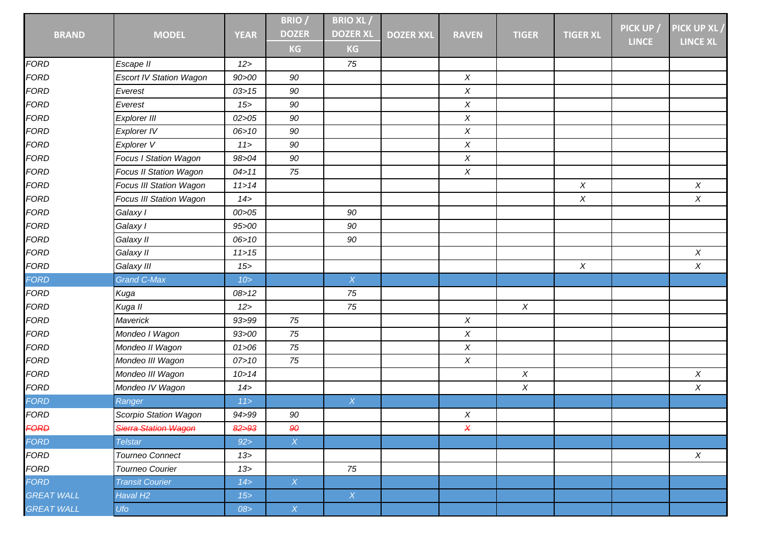|                   |                                |                    | BRIO /           | <b>BRIO XL/</b>  |                  |              |                           |                  |              |                  |
|-------------------|--------------------------------|--------------------|------------------|------------------|------------------|--------------|---------------------------|------------------|--------------|------------------|
| <b>BRAND</b>      | <b>MODEL</b>                   | <b>YEAR</b>        | <b>DOZER</b>     | <b>DOZER XL</b>  | <b>DOZER XXL</b> | <b>RAVEN</b> | <b>TIGER</b>              | <b>TIGER XL</b>  | PICK UP /    | PICK UP XL /     |
|                   |                                |                    | <b>KG</b>        | KG               |                  |              |                           |                  | <b>LINCE</b> | <b>LINCE XL</b>  |
| <b>FORD</b>       | Escape II                      | 12>                |                  | 75               |                  |              |                           |                  |              |                  |
| <b>FORD</b>       | <b>Escort IV Station Wagon</b> | 90 > 00            | 90               |                  |                  | $\chi$       |                           |                  |              |                  |
| <b>FORD</b>       | Everest                        | 03 > 15            | 90               |                  |                  | $\chi$       |                           |                  |              |                  |
| FORD              | Everest                        | 15                 | 90               |                  |                  | $\chi$       |                           |                  |              |                  |
| <b>FORD</b>       | Explorer III                   | 02 > 05            | 90               |                  |                  | $\chi$       |                           |                  |              |                  |
| <b>FORD</b>       | Explorer IV                    | 06 > 10            | 90               |                  |                  | $\chi$       |                           |                  |              |                  |
| <b>FORD</b>       | Explorer V                     | 11                 | 90               |                  |                  | $\chi$       |                           |                  |              |                  |
| <b>FORD</b>       | Focus I Station Wagon          | 98>04              | 90               |                  |                  | $\chi$       |                           |                  |              |                  |
| FORD              | Focus II Station Wagon         | 04 > 11            | 75               |                  |                  | $\chi$       |                           |                  |              |                  |
| FORD              | Focus III Station Wagon        | 11 > 14            |                  |                  |                  |              |                           | $\chi$           |              | $\chi$           |
| FORD              | Focus III Station Wagon        | 14 >               |                  |                  |                  |              |                           | $\boldsymbol{X}$ |              | $\chi$           |
| <b>FORD</b>       | Galaxy I                       | 00 > 05            |                  | 90               |                  |              |                           |                  |              |                  |
| <b>FORD</b>       | Galaxy I                       | 95 > 00            |                  | 90               |                  |              |                           |                  |              |                  |
| FORD              | Galaxy II                      | 06 > 10            |                  | 90               |                  |              |                           |                  |              |                  |
| FORD              | Galaxy II                      | 11 > 15            |                  |                  |                  |              |                           |                  |              | $\chi$           |
| <b>FORD</b>       | Galaxy III                     | 15 <sub>2</sub>    |                  |                  |                  |              |                           | $\chi$           |              | $\chi$           |
| <b>FORD</b>       | <b>Grand C-Max</b>             | 10 <sub>&gt;</sub> |                  | $\boldsymbol{X}$ |                  |              |                           |                  |              |                  |
| FORD              | Kuga                           | 08 > 12            |                  | 75               |                  |              |                           |                  |              |                  |
| FORD              | Kuga II                        | 12>                |                  | 75               |                  |              | $\chi$                    |                  |              |                  |
| FORD              | Maverick                       | 93>99              | 75               |                  |                  | $\chi$       |                           |                  |              |                  |
| FORD              | Mondeo I Wagon                 | 93>00              | 75               |                  |                  | $\chi$       |                           |                  |              |                  |
| <b>FORD</b>       | Mondeo II Wagon                | 01 > 06            | 75               |                  |                  | $\chi$       |                           |                  |              |                  |
| FORD              | Mondeo III Wagon               | 07 > 10            | 75               |                  |                  | $\chi$       |                           |                  |              |                  |
| FORD              | Mondeo III Wagon               | 10 > 14            |                  |                  |                  |              | $\chi$                    |                  |              | $\boldsymbol{X}$ |
| FORD              | Mondeo IV Wagon                | 14 >               |                  |                  |                  |              | $\boldsymbol{\mathsf{X}}$ |                  |              | $\boldsymbol{X}$ |
| <b>FORD</b>       | Ranger                         | 11                 |                  | $\chi$           |                  |              |                           |                  |              |                  |
| <b>FORD</b>       | Scorpio Station Wagon          | 94>99              | 90               |                  |                  | X            |                           |                  |              |                  |
| <b>FORD</b>       | Sierra Station Wagon           | 82>93              | 90               |                  |                  | X            |                           |                  |              |                  |
| <b>FORD</b>       | <b>Telstar</b>                 | 92 >               | $\boldsymbol{X}$ |                  |                  |              |                           |                  |              |                  |
| <b>FORD</b>       | Tourneo Connect                | 13 >               |                  |                  |                  |              |                           |                  |              | X                |
| <b>FORD</b>       | Tourneo Courier                | 13 >               |                  | 75               |                  |              |                           |                  |              |                  |
| <b>FORD</b>       | <b>Transit Courier</b>         | 14                 | $\vert X \vert$  |                  |                  |              |                           |                  |              |                  |
| <b>GREAT WALL</b> | Haval H <sub>2</sub>           | 15 <sub>&gt;</sub> |                  | $\vert X \vert$  |                  |              |                           |                  |              |                  |
| <b>GREAT WALL</b> | Ufo                            | 08 >               | $\boldsymbol{X}$ |                  |                  |              |                           |                  |              |                  |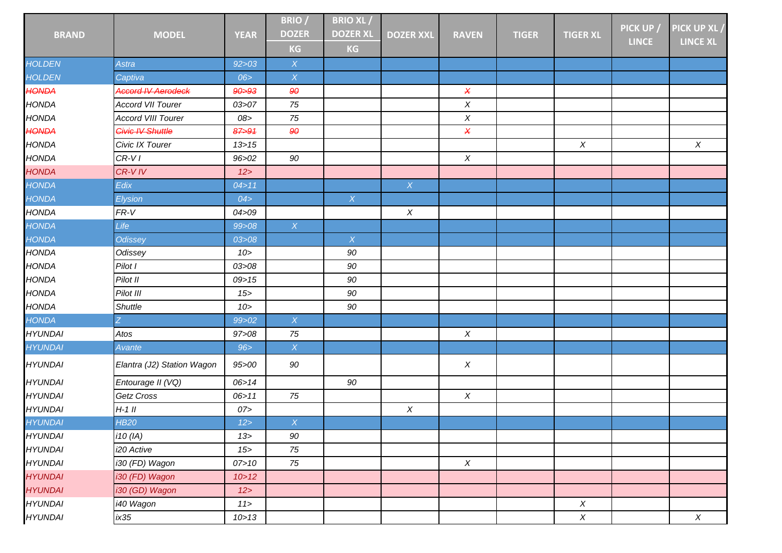|                |                            |             | BRIO /           | <b>BRIO XL/</b>  |                  |                |              |                  |                           |                                 |
|----------------|----------------------------|-------------|------------------|------------------|------------------|----------------|--------------|------------------|---------------------------|---------------------------------|
| <b>BRAND</b>   | <b>MODEL</b>               | <b>YEAR</b> | <b>DOZER</b>     | <b>DOZER XL</b>  | <b>DOZER XXL</b> | <b>RAVEN</b>   | <b>TIGER</b> | <b>TIGER XL</b>  | PICK UP /<br><b>LINCE</b> | PICK UP XL /<br><b>LINCE XL</b> |
|                |                            |             | KG               | KG               |                  |                |              |                  |                           |                                 |
| <b>HOLDEN</b>  | Astra                      | 92 > 03     | $\boldsymbol{X}$ |                  |                  |                |              |                  |                           |                                 |
| <b>HOLDEN</b>  | Captiva                    | 06 >        | $\boldsymbol{X}$ |                  |                  |                |              |                  |                           |                                 |
| <b>HONDA</b>   | <b>Accord IV Aerodeck</b>  | 90>93       | 90               |                  |                  | $\pmb{\times}$ |              |                  |                           |                                 |
| <b>HONDA</b>   | <b>Accord VII Tourer</b>   | 03>07       | 75               |                  |                  | $\chi$         |              |                  |                           |                                 |
| <b>HONDA</b>   | <b>Accord VIII Tourer</b>  | 08>         | 75               |                  |                  | $\chi$         |              |                  |                           |                                 |
| <b>HONDA</b>   | Civic IV Shuttle           | 87>91       | 90               |                  |                  | $\pmb{\times}$ |              |                  |                           |                                 |
| <b>HONDA</b>   | Civic IX Tourer            | 13 > 15     |                  |                  |                  |                |              | $\boldsymbol{X}$ |                           | $\boldsymbol{X}$                |
| <b>HONDA</b>   | $CR-VI$                    | 96 > 02     | 90               |                  |                  | $\chi$         |              |                  |                           |                                 |
| <b>HONDA</b>   | CR-V <sub>IV</sub>         | 12>         |                  |                  |                  |                |              |                  |                           |                                 |
| <b>HONDA</b>   | <b>Edix</b>                | 04 > 11     |                  |                  | $\boldsymbol{X}$ |                |              |                  |                           |                                 |
| <b>HONDA</b>   | Elysion                    | 04 >        |                  | $\boldsymbol{X}$ |                  |                |              |                  |                           |                                 |
| HONDA          | $FR-V$                     | 04 > 09     |                  |                  | $\chi$           |                |              |                  |                           |                                 |
| <b>HONDA</b>   | Life                       | 99>08       | X                |                  |                  |                |              |                  |                           |                                 |
| <b>HONDA</b>   | <b>Odissey</b>             | 03>08       |                  | $\boldsymbol{X}$ |                  |                |              |                  |                           |                                 |
| HONDA          | Odissey                    | 10 >        |                  | 90               |                  |                |              |                  |                           |                                 |
| <b>HONDA</b>   | Pilot I                    | 03>08       |                  | 90               |                  |                |              |                  |                           |                                 |
| HONDA          | Pilot II                   | 09 > 15     |                  | 90               |                  |                |              |                  |                           |                                 |
| HONDA          | Pilot III                  | 15          |                  | 90               |                  |                |              |                  |                           |                                 |
| <b>HONDA</b>   | Shuttle                    | 10 >        |                  | 90               |                  |                |              |                  |                           |                                 |
| <b>HONDA</b>   | Z                          | 99 > 02     | $\boldsymbol{X}$ |                  |                  |                |              |                  |                           |                                 |
| <b>HYUNDAI</b> | Atos                       | 97>08       | $75\,$           |                  |                  | $\chi$         |              |                  |                           |                                 |
| <b>HYUNDAI</b> | Avante                     | 96 >        | $\boldsymbol{X}$ |                  |                  |                |              |                  |                           |                                 |
| <b>HYUNDAI</b> | Elantra (J2) Station Wagon | 95>00       | 90               |                  |                  | $\chi$         |              |                  |                           |                                 |
| <b>HYUNDAI</b> | Entourage II (VQ)          | 06 > 14     |                  | 90               |                  |                |              |                  |                           |                                 |
| <b>HYUNDAI</b> | Getz Cross                 | 06 > 11     | 75               |                  |                  | $\chi$         |              |                  |                           |                                 |
| <b>HYUNDAI</b> | $H-1$ II                   | 07 >        |                  |                  | $\chi$           |                |              |                  |                           |                                 |
| <b>HYUNDAI</b> | <b>HB20</b>                | 12>         | $\boldsymbol{X}$ |                  |                  |                |              |                  |                           |                                 |
| <b>HYUNDAI</b> | i10 (IA)                   | 13 >        | 90               |                  |                  |                |              |                  |                           |                                 |
| <b>HYUNDAI</b> | i20 Active                 | 15          | 75               |                  |                  |                |              |                  |                           |                                 |
| <b>HYUNDAI</b> | i30 (FD) Wagon             | 07 > 10     | $75\,$           |                  |                  | $\chi$         |              |                  |                           |                                 |
| <b>HYUNDAI</b> | i30 (FD) Wagon             | 10 > 12     |                  |                  |                  |                |              |                  |                           |                                 |
| <b>HYUNDAI</b> | i30 (GD) Wagon             | 12>         |                  |                  |                  |                |              |                  |                           |                                 |
| <b>HYUNDAI</b> | i40 Wagon                  | 11          |                  |                  |                  |                |              | $\boldsymbol{X}$ |                           |                                 |
| <b>HYUNDAI</b> | ix35                       | 10 > 13     |                  |                  |                  |                |              | $\boldsymbol{X}$ |                           | $\chi$                          |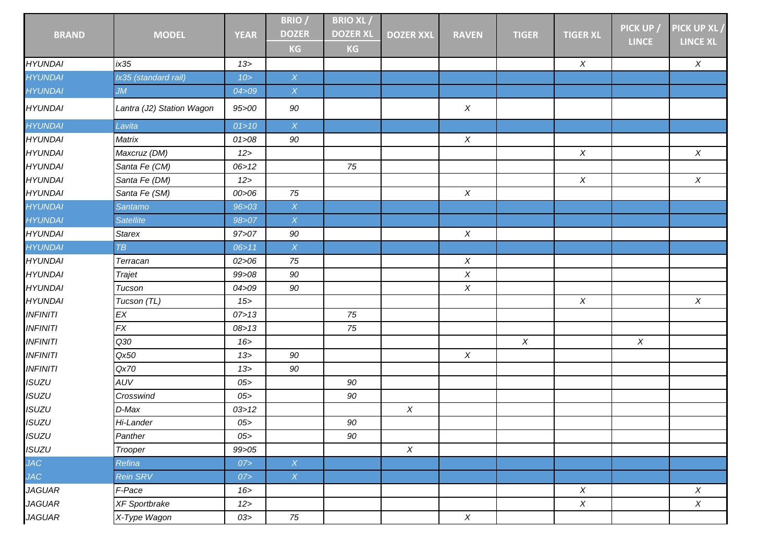| <b>BRAND</b>    | <b>MODEL</b>              | <b>YEAR</b>        | BRIO /<br><b>DOZER</b><br>KG | <b>BRIO XL</b><br><b>DOZER XL</b><br>KG | <b>DOZER XXL</b> | <b>RAVEN</b> | <b>TIGER</b> | <b>TIGER XL</b>  | PICK UP /<br><b>LINCE</b> | PICK UP XL /<br><b>LINCE XL</b> |
|-----------------|---------------------------|--------------------|------------------------------|-----------------------------------------|------------------|--------------|--------------|------------------|---------------------------|---------------------------------|
| <b>HYUNDAI</b>  | ix35                      | 13 >               |                              |                                         |                  |              |              | $\chi$           |                           | $\chi$                          |
| <b>HYUNDAI</b>  | Ix35 (standard rail)      | 10 <sub>&gt;</sub> | $\chi$                       |                                         |                  |              |              |                  |                           |                                 |
| <b>HYUNDAI</b>  | JM                        | 04 > 09            | $\boldsymbol{X}$             |                                         |                  |              |              |                  |                           |                                 |
| <b>HYUNDAI</b>  | Lantra (J2) Station Wagon | 95>00              | 90                           |                                         |                  | $\chi$       |              |                  |                           |                                 |
| <b>HYUNDAI</b>  | Lavita                    | 01 > 10            | $\boldsymbol{X}$             |                                         |                  |              |              |                  |                           |                                 |
| <b>HYUNDAI</b>  | Matrix                    | 01 > 08            | 90                           |                                         |                  | $\chi$       |              |                  |                           |                                 |
| <b>HYUNDAI</b>  | Maxcruz (DM)              | 12 >               |                              |                                         |                  |              |              | $\chi$           |                           | $\chi$                          |
| <b>HYUNDAI</b>  | Santa Fe (CM)             | 06 > 12            |                              | 75                                      |                  |              |              |                  |                           |                                 |
| <b>HYUNDAI</b>  | Santa Fe (DM)             | 12 >               |                              |                                         |                  |              |              | $\chi$           |                           | $\boldsymbol{X}$                |
| <b>HYUNDAI</b>  | Santa Fe (SM)             | 00 > 06            | $75\,$                       |                                         |                  | $\chi$       |              |                  |                           |                                 |
| <b>HYUNDAI</b>  | Santamo                   | 96 > 03            | $\boldsymbol{X}$             |                                         |                  |              |              |                  |                           |                                 |
| <b>HYUNDAI</b>  | <b>Satellite</b>          | 98>07              | $\boldsymbol{X}$             |                                         |                  |              |              |                  |                           |                                 |
| <b>HYUNDAI</b>  | <b>Starex</b>             | 97 > 07            | 90                           |                                         |                  | $\chi$       |              |                  |                           |                                 |
| <b>HYUNDAI</b>  | $T\boldsymbol{B}$         | 06 > 11            | $\boldsymbol{X}$             |                                         |                  |              |              |                  |                           |                                 |
| <b>HYUNDAI</b>  | Terracan                  | 02 > 06            | 75                           |                                         |                  | $\chi$       |              |                  |                           |                                 |
| <b>HYUNDAI</b>  | Trajet                    | 99>08              | 90                           |                                         |                  | $\chi$       |              |                  |                           |                                 |
| <b>HYUNDAI</b>  | Tucson                    | 04 > 09            | 90                           |                                         |                  | $\chi$       |              |                  |                           |                                 |
| <b>HYUNDAI</b>  | Tucson (TL)               | 15 <sub>2</sub>    |                              |                                         |                  |              |              | $\boldsymbol{X}$ |                           | $\boldsymbol{X}$                |
| <b>INFINITI</b> | EX                        | 07 > 13            |                              | 75                                      |                  |              |              |                  |                           |                                 |
| <b>INFINITI</b> | <b>FX</b>                 | 08 > 13            |                              | 75                                      |                  |              |              |                  |                           |                                 |
| <b>INFINITI</b> | Q30                       | 16 >               |                              |                                         |                  |              | $\chi$       |                  | $\boldsymbol{X}$          |                                 |
| <b>INFINITI</b> | Qx50                      | 13 >               | 90                           |                                         |                  | $\chi$       |              |                  |                           |                                 |
| <b>INFINITI</b> | Qx70                      | 13 >               | 90                           |                                         |                  |              |              |                  |                           |                                 |
| <b>ISUZU</b>    | AUV                       | 05 >               |                              | 90                                      |                  |              |              |                  |                           |                                 |
| <b>ISUZU</b>    | Crosswind                 | 05 >               |                              | 90                                      |                  |              |              |                  |                           |                                 |
| <b>ISUZU</b>    | D-Max                     | 03 > 12            |                              |                                         | $\chi$           |              |              |                  |                           |                                 |
| ISUZU           | Hi-Lander                 | 05 >               |                              | 90                                      |                  |              |              |                  |                           |                                 |
| <b>ISUZU</b>    | Panther                   | 05 >               |                              | 90                                      |                  |              |              |                  |                           |                                 |
| <b>ISUZU</b>    | Trooper                   | 99>05              |                              |                                         | $\chi$           |              |              |                  |                           |                                 |
| <b>JAC</b>      | Refina                    | 07 >               | $\bar{X}$                    |                                         |                  |              |              |                  |                           |                                 |
| <b>JAC</b>      | Rein SRV                  | 07 >               | $\boldsymbol{X}$             |                                         |                  |              |              |                  |                           |                                 |
| <b>JAGUAR</b>   | F-Pace                    | 16 <sub>5</sub>    |                              |                                         |                  |              |              | $\chi$           |                           | $\chi$                          |
| <b>JAGUAR</b>   | <b>XF Sportbrake</b>      | 12 >               |                              |                                         |                  |              |              | $\boldsymbol{X}$ |                           | $\boldsymbol{X}$                |
| <b>JAGUAR</b>   | X-Type Wagon              | 03>                | 75                           |                                         |                  | $\chi$       |              |                  |                           |                                 |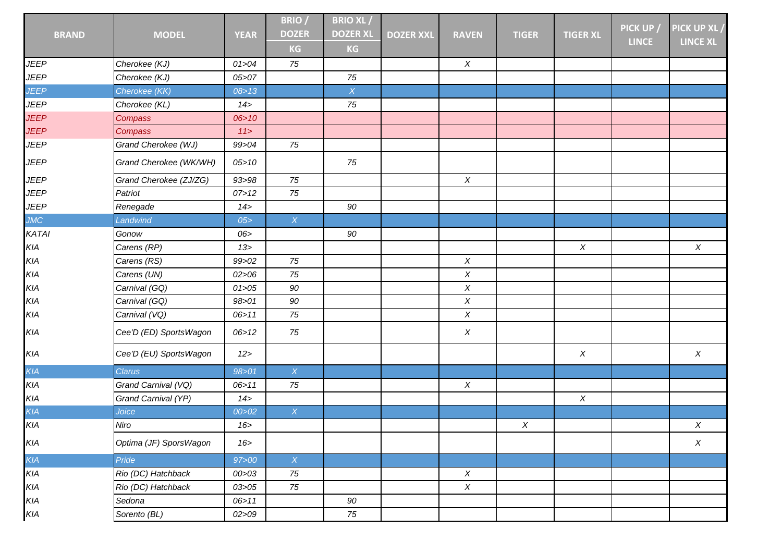|              |                        |                 | BRIO /           | <b>BRIO XL</b>   |                  |                  |              |                 | PICK UP /    | PICK UP XL /    |
|--------------|------------------------|-----------------|------------------|------------------|------------------|------------------|--------------|-----------------|--------------|-----------------|
| <b>BRAND</b> | <b>MODEL</b>           | <b>YEAR</b>     | <b>DOZER</b>     | <b>DOZER XL</b>  | <b>DOZER XXL</b> | <b>RAVEN</b>     | <b>TIGER</b> | <b>TIGER XL</b> | <b>LINCE</b> | <b>LINCE XL</b> |
|              |                        |                 | KG               | KG               |                  |                  |              |                 |              |                 |
| <b>JEEP</b>  | Cherokee (KJ)          | 01 > 04         | 75               |                  |                  | $\chi$           |              |                 |              |                 |
| <b>JEEP</b>  | Cherokee (KJ)          | 05 > 07         |                  | 75               |                  |                  |              |                 |              |                 |
| <b>JEEP</b>  | Cherokee (KK)          | 08 > 13         |                  | $\boldsymbol{X}$ |                  |                  |              |                 |              |                 |
| <b>JEEP</b>  | Cherokee (KL)          | 14 >            |                  | 75               |                  |                  |              |                 |              |                 |
| <b>JEEP</b>  | Compass                | 06 > 10         |                  |                  |                  |                  |              |                 |              |                 |
| <b>JEEP</b>  | Compass                | 11              |                  |                  |                  |                  |              |                 |              |                 |
| <b>JEEP</b>  | Grand Cherokee (WJ)    | 99>04           | 75               |                  |                  |                  |              |                 |              |                 |
| JEEP         | Grand Cherokee (WK/WH) | 05 > 10         |                  | 75               |                  |                  |              |                 |              |                 |
| <b>JEEP</b>  | Grand Cherokee (ZJ/ZG) | 93>98           | 75               |                  |                  | $\chi$           |              |                 |              |                 |
| <b>JEEP</b>  | Patriot                | 07 > 12         | 75               |                  |                  |                  |              |                 |              |                 |
| <b>JEEP</b>  | Renegade               | 14 >            |                  | 90               |                  |                  |              |                 |              |                 |
| <b>JMC</b>   | Landwind               | 05 >            | $\boldsymbol{X}$ |                  |                  |                  |              |                 |              |                 |
| KATAI        | Gonow                  | 06>             |                  | 90               |                  |                  |              |                 |              |                 |
| KIA          | Carens (RP)            | 13 >            |                  |                  |                  |                  |              | $\chi$          |              | $\chi$          |
| KIA          | Carens (RS)            | 99>02           | 75               |                  |                  | $\chi$           |              |                 |              |                 |
| KIA          | Carens (UN)            | 02 > 06         | 75               |                  |                  | $\chi$           |              |                 |              |                 |
| KIA          | Carnival (GQ)          | 01 > 05         | 90               |                  |                  | $\boldsymbol{X}$ |              |                 |              |                 |
| KIA          | Carnival (GQ)          | 98 > 01         | 90               |                  |                  | $\chi$           |              |                 |              |                 |
| KIA          | Carnival (VQ)          | 06 > 11         | 75               |                  |                  | $\chi$           |              |                 |              |                 |
| KIA          | Cee'D (ED) SportsWagon | 06 > 12         | 75               |                  |                  | $\chi$           |              |                 |              |                 |
| KIA          | Cee'D (EU) SportsWagon | 12>             |                  |                  |                  |                  |              | $\chi$          |              | $\chi$          |
| KIA          | <b>Clarus</b>          | 98 > 01         | $\chi$           |                  |                  |                  |              |                 |              |                 |
| KIA          | Grand Carnival (VQ)    | 06 > 11         | 75               |                  |                  | $\chi$           |              |                 |              |                 |
| KIA          | Grand Carnival (YP)    | 14 >            |                  |                  |                  |                  |              | $\chi$          |              |                 |
| KIA          | Joice                  | 00 > 02         | $\boldsymbol{X}$ |                  |                  |                  |              |                 |              |                 |
| KIA          | Niro                   | 16 <sub>5</sub> |                  |                  |                  |                  | $\chi$       |                 |              | $\chi$          |
| KIA          | Optima (JF) SporsWagon | 16 >            |                  |                  |                  |                  |              |                 |              | $\chi$          |
| KIA          | Pride                  | 97>00           | X                |                  |                  |                  |              |                 |              |                 |
| KIA          | Rio (DC) Hatchback     | 00 > 03         | 75               |                  |                  | $\chi$           |              |                 |              |                 |
| KIA          | Rio (DC) Hatchback     | 03 > 05         | 75               |                  |                  | $\boldsymbol{X}$ |              |                 |              |                 |
| KIA          | Sedona                 | 06 > 11         |                  | 90               |                  |                  |              |                 |              |                 |
| KIA          | Sorento (BL)           | 02 > 09         |                  | 75               |                  |                  |              |                 |              |                 |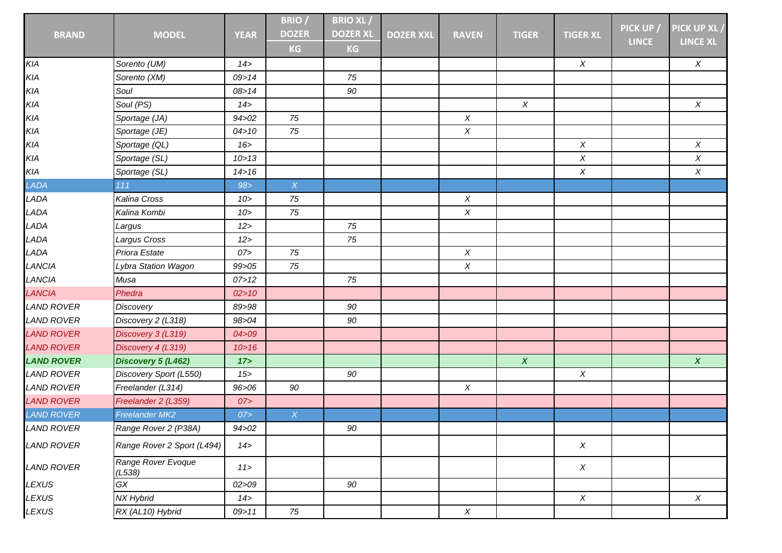|                   |                              |                    | BRIO /           | <b>BRIO XL7</b> |                  |              |                  |                  |              |                  |
|-------------------|------------------------------|--------------------|------------------|-----------------|------------------|--------------|------------------|------------------|--------------|------------------|
| <b>BRAND</b>      | <b>MODEL</b>                 | <b>YEAR</b>        | <b>DOZER</b>     | <b>DOZER XL</b> | <b>DOZER XXL</b> | <b>RAVEN</b> | <b>TIGER</b>     | <b>TIGER XL</b>  | PICK UP /    | PICK UP XL       |
|                   |                              |                    | KG               | KG              |                  |              |                  |                  | <b>LINCE</b> | <b>LINCE XL</b>  |
| KIA               | Sorento (UM)                 | 14 >               |                  |                 |                  |              |                  | $\chi$           |              | $\chi$           |
| KIA               | Sorento (XM)                 | 09 > 14            |                  | 75              |                  |              |                  |                  |              |                  |
| KIA               | Soul                         | 08 > 14            |                  | 90              |                  |              |                  |                  |              |                  |
| KIA               | Soul (PS)                    | 14 >               |                  |                 |                  |              | $\chi$           |                  |              | $\chi$           |
| KIA               | Sportage (JA)                | 94 > 02            | 75               |                 |                  | $\chi$       |                  |                  |              |                  |
| KIA               | Sportage (JE)                | 04 > 10            | 75               |                 |                  | $\chi$       |                  |                  |              |                  |
| KIA               | Sportage (QL)                | 16 >               |                  |                 |                  |              |                  | $\chi$           |              | $\chi$           |
| KIA               | Sportage (SL)                | 10 > 13            |                  |                 |                  |              |                  | $\chi$           |              | $\chi$           |
| KIA               | Sportage (SL)                | 14 > 16            |                  |                 |                  |              |                  | $\boldsymbol{X}$ |              | $\chi$           |
| LADA              | 111                          | 98 >               | $\chi$           |                 |                  |              |                  |                  |              |                  |
| LADA              | Kalina Cross                 | 10 >               | 75               |                 |                  | X            |                  |                  |              |                  |
| LADA              | Kalina Kombi                 | 10 >               | 75               |                 |                  | $\chi$       |                  |                  |              |                  |
| LADA              | Largus                       | 12>                |                  | 75              |                  |              |                  |                  |              |                  |
| LADA              | Largus Cross                 | 12>                |                  | 75              |                  |              |                  |                  |              |                  |
| LADA              | Priora Estate                | 07 >               | 75               |                 |                  | $\chi$       |                  |                  |              |                  |
| LANCIA            | Lybra Station Wagon          | 99>05              | 75               |                 |                  | $\chi$       |                  |                  |              |                  |
| LANCIA            | Musa                         | 07 > 12            |                  | 75              |                  |              |                  |                  |              |                  |
| <b>LANCIA</b>     | Phedra                       | 02 > 10            |                  |                 |                  |              |                  |                  |              |                  |
| <b>LAND ROVER</b> | Discovery                    | 89>98              |                  | 90              |                  |              |                  |                  |              |                  |
| <b>LAND ROVER</b> | Discovery 2 (L318)           | 98>04              |                  | 90              |                  |              |                  |                  |              |                  |
| <b>LAND ROVER</b> | Discovery 3 (L319)           | 04 > 09            |                  |                 |                  |              |                  |                  |              |                  |
| <b>LAND ROVER</b> | Discovery 4 (L319)           | 10 > 16            |                  |                 |                  |              |                  |                  |              |                  |
| <b>LAND ROVER</b> | Discovery 5 (L462)           | 17 <sub>&gt;</sub> |                  |                 |                  |              | $\boldsymbol{X}$ |                  |              | $\boldsymbol{X}$ |
| <b>LAND ROVER</b> | Discovery Sport (L550)       | 15 <sub>2</sub>    |                  | 90              |                  |              |                  | $\chi$           |              |                  |
| <b>LAND ROVER</b> | Freelander (L314)            | 96>06              | 90               |                 |                  | $\chi$       |                  |                  |              |                  |
| <b>LAND ROVER</b> | Freelander 2 (L359)          | 07 >               |                  |                 |                  |              |                  |                  |              |                  |
| <b>LAND ROVER</b> | Freelander MK2               | 07 >               | $\boldsymbol{X}$ |                 |                  |              |                  |                  |              |                  |
| <b>LAND ROVER</b> | Range Rover 2 (P38A)         | 94 > 02            |                  | 90              |                  |              |                  |                  |              |                  |
| <b>LAND ROVER</b> | Range Rover 2 Sport (L494)   | 14 >               |                  |                 |                  |              |                  | $\chi$           |              |                  |
| <b>LAND ROVER</b> | Range Rover Evoque<br>(L538) | 11                 |                  |                 |                  |              |                  | $\chi$           |              |                  |
| <b>LEXUS</b>      | GX                           | 02 > 09            |                  | 90              |                  |              |                  |                  |              |                  |
| <b>LEXUS</b>      | NX Hybrid                    | 14 >               |                  |                 |                  |              |                  | $\chi$           |              | $\chi$           |
| LEXUS             | RX (AL10) Hybrid             | 09 > 11            | 75               |                 |                  | $\chi$       |                  |                  |              |                  |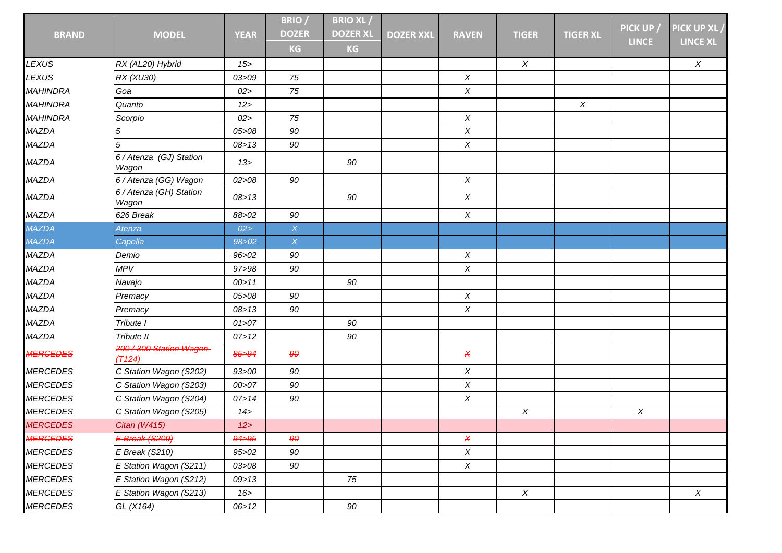|                 |                                  |                    | BRIO /           | <b>BRIO XL/</b> |                  |                           |              |                 |              |                 |
|-----------------|----------------------------------|--------------------|------------------|-----------------|------------------|---------------------------|--------------|-----------------|--------------|-----------------|
| <b>BRAND</b>    | <b>MODEL</b>                     | <b>YEAR</b>        | <b>DOZER</b>     | <b>DOZER XL</b> | <b>DOZER XXL</b> | <b>RAVEN</b>              | <b>TIGER</b> | <b>TIGER XL</b> | PICK UP /    | PICK UP XL /    |
|                 |                                  |                    | <b>KG</b>        | KG              |                  |                           |              |                 | <b>LINCE</b> | <b>LINCE XL</b> |
| LEXUS           | RX (AL20) Hybrid                 | 15 <sub>&gt;</sub> |                  |                 |                  |                           | $\chi$       |                 |              | $\chi$          |
| LEXUS           | RX (XU30)                        | 03>09              | 75               |                 |                  | $\chi$                    |              |                 |              |                 |
| <b>MAHINDRA</b> | Goa                              | 02 >               | 75               |                 |                  | $\chi$                    |              |                 |              |                 |
| <b>MAHINDRA</b> | Quanto                           | 12 >               |                  |                 |                  |                           |              | $\chi$          |              |                 |
| <b>MAHINDRA</b> | Scorpio                          | 02 >               | 75               |                 |                  | $\chi$                    |              |                 |              |                 |
| MAZDA           | 5                                | 05>08              | 90               |                 |                  | $\chi$                    |              |                 |              |                 |
| MAZDA           |                                  | 08 > 13            | 90               |                 |                  | $\chi$                    |              |                 |              |                 |
| MAZDA           | 6 / Atenza (GJ) Station<br>Wagon | 13 >               |                  | 90              |                  |                           |              |                 |              |                 |
| MAZDA           | 6 / Atenza (GG) Wagon            | 02 > 08            | 90               |                 |                  | $\chi$                    |              |                 |              |                 |
| MAZDA           | 6 / Atenza (GH) Station<br>Wagon | 08 > 13            |                  | 90              |                  | $\chi$                    |              |                 |              |                 |
| MAZDA           | 626 Break                        | 88>02              | 90               |                 |                  | $\chi$                    |              |                 |              |                 |
| MAZDA           | Atenza                           | 02>                | $\boldsymbol{X}$ |                 |                  |                           |              |                 |              |                 |
| MAZDA           | Capella                          | 98 > 02            | $\boldsymbol{X}$ |                 |                  |                           |              |                 |              |                 |
| MAZDA           | Demio                            | 96 > 02            | 90               |                 |                  | $\chi$                    |              |                 |              |                 |
| MAZDA           | <b>MPV</b>                       | 97>98              | 90               |                 |                  | $\chi$                    |              |                 |              |                 |
| MAZDA           | Navajo                           | 00 > 11            |                  | 90              |                  |                           |              |                 |              |                 |
| MAZDA           | Premacy                          | 05>08              | 90               |                 |                  | $\chi$                    |              |                 |              |                 |
| MAZDA           | Premacy                          | 08 > 13            | 90               |                 |                  | $\chi$                    |              |                 |              |                 |
| MAZDA           | Tribute I                        | 01 > 07            |                  | 90              |                  |                           |              |                 |              |                 |
| MAZDA           | Tribute II                       | 07 > 12            |                  | 90              |                  |                           |              |                 |              |                 |
| <b>MERGEDES</b> | 200/300 Station Wagon-<br>(T124) | 85>94              | 90               |                 |                  | $\boldsymbol{\mathsf{X}}$ |              |                 |              |                 |
| <b>MERCEDES</b> | C Station Wagon (S202)           | 93>00              | 90               |                 |                  | $\chi$                    |              |                 |              |                 |
| <b>MERCEDES</b> | C Station Wagon (S203)           | 00 > 07            | 90               |                 |                  | $\chi$                    |              |                 |              |                 |
| <b>MERCEDES</b> | C Station Wagon (S204)           | 07 > 14            | 90               |                 |                  | $\chi$                    |              |                 |              |                 |
| <b>MERCEDES</b> | C Station Wagon (S205)           | 14 >               |                  |                 |                  |                           | $\chi$       |                 | $\chi$       |                 |
| <b>MERCEDES</b> | <b>Citan (W415)</b>              | 12>                |                  |                 |                  |                           |              |                 |              |                 |
| <b>MERGEDES</b> | E Break (S209)                   | 94 > 95            | 90               |                 |                  | $\pmb{\times}$            |              |                 |              |                 |
| <b>MERCEDES</b> | E Break (S210)                   | 95 > 02            | 90               |                 |                  | $\chi$                    |              |                 |              |                 |
| <b>MERCEDES</b> | E Station Wagon (S211)           | 03 > 08            | 90               |                 |                  | $\chi$                    |              |                 |              |                 |
| <b>MERCEDES</b> | E Station Wagon (S212)           | 09 > 13            |                  | 75              |                  |                           |              |                 |              |                 |
| <b>MERCEDES</b> | E Station Wagon (S213)           | 16 >               |                  |                 |                  |                           | $\chi$       |                 |              | $\chi$          |
| <b>MERCEDES</b> | GL (X164)                        | 06 > 12            |                  | 90              |                  |                           |              |                 |              |                 |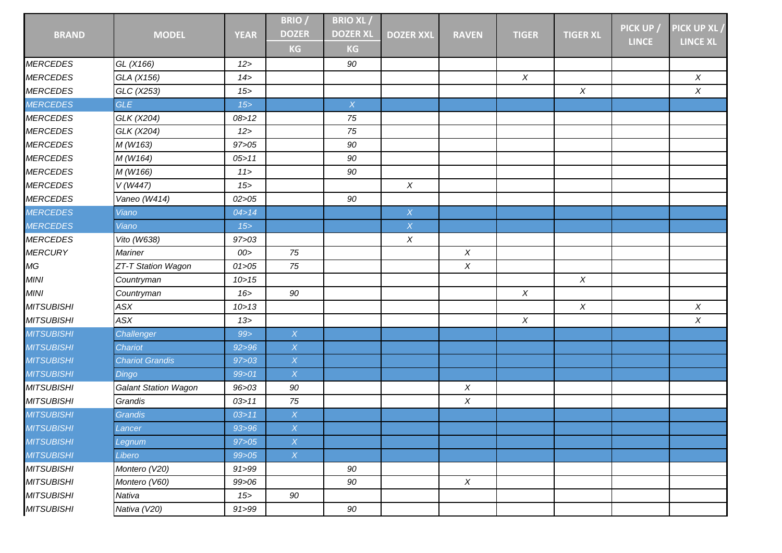|                   |                             |                 | BRIO /           | <b>BRIO XL /</b> |                  |              |              |                 |              |                  |
|-------------------|-----------------------------|-----------------|------------------|------------------|------------------|--------------|--------------|-----------------|--------------|------------------|
| <b>BRAND</b>      | <b>MODEL</b>                | <b>YEAR</b>     | <b>DOZER</b>     | <b>DOZER XL</b>  | <b>DOZER XXL</b> | <b>RAVEN</b> | <b>TIGER</b> | <b>TIGER XL</b> | PICK UP /    | PICK UP XL /     |
|                   |                             |                 | KG               | KG               |                  |              |              |                 | <b>LINCE</b> | <b>LINCE XL</b>  |
| <b>MERCEDES</b>   | GL (X166)                   | 12 >            |                  | 90               |                  |              |              |                 |              |                  |
| <b>MERCEDES</b>   | GLA (X156)                  | 14 >            |                  |                  |                  |              | $\chi$       |                 |              | $\boldsymbol{X}$ |
| <b>MERCEDES</b>   | GLC (X253)                  | 15              |                  |                  |                  |              |              | $\chi$          |              | $\chi$           |
| <b>MERCEDES</b>   | <b>GLE</b>                  | 15              |                  | $\boldsymbol{X}$ |                  |              |              |                 |              |                  |
| <b>MERCEDES</b>   | GLK (X204)                  | 08 > 12         |                  | 75               |                  |              |              |                 |              |                  |
| <b>MERCEDES</b>   | GLK (X204)                  | 12 >            |                  | 75               |                  |              |              |                 |              |                  |
| <b>MERCEDES</b>   | M (W163)                    | 97 > 05         |                  | 90               |                  |              |              |                 |              |                  |
| <b>MERCEDES</b>   | M (W164)                    | 05 > 11         |                  | 90               |                  |              |              |                 |              |                  |
| <b>MERCEDES</b>   | M (W166)                    | 11              |                  | 90               |                  |              |              |                 |              |                  |
| <b>MERCEDES</b>   | V(W447)                     | $15 -$          |                  |                  | $\chi$           |              |              |                 |              |                  |
| <b>MERCEDES</b>   | Vaneo (W414)                | 02 > 05         |                  | 90               |                  |              |              |                 |              |                  |
| <b>MERCEDES</b>   | Viano                       | 04 > 14         |                  |                  | $\chi$           |              |              |                 |              |                  |
| <b>MERCEDES</b>   | Viano                       | 15 <sub>2</sub> |                  |                  | $\boldsymbol{X}$ |              |              |                 |              |                  |
| <b>MERCEDES</b>   | Vito (W638)                 | 97 > 03         |                  |                  | $\chi$           |              |              |                 |              |                  |
| <b>MERCURY</b>    | Mariner                     | 00 >            | 75               |                  |                  | $\chi$       |              |                 |              |                  |
| МG                | ZT-T Station Wagon          | 01 > 05         | 75               |                  |                  | $\chi$       |              |                 |              |                  |
| MINI              | Countryman                  | 10 > 15         |                  |                  |                  |              |              | $\chi$          |              |                  |
| <b>MINI</b>       | Countryman                  | 16              | 90               |                  |                  |              | $\chi$       |                 |              |                  |
| <b>MITSUBISHI</b> | ASX                         | 10 > 13         |                  |                  |                  |              |              | $\chi$          |              | $\chi$           |
| <b>MITSUBISHI</b> | <b>ASX</b>                  | 13 >            |                  |                  |                  |              | $\chi$       |                 |              | $\boldsymbol{X}$ |
| <b>MITSUBISHI</b> | Challenger                  | 99 >            | $\boldsymbol{X}$ |                  |                  |              |              |                 |              |                  |
| <b>MITSUBISHI</b> | Chariot                     | 92 > 96         | $\boldsymbol{X}$ |                  |                  |              |              |                 |              |                  |
| <b>MITSUBISHI</b> | <b>Chariot Grandis</b>      | 97 > 03         | $\boldsymbol{X}$ |                  |                  |              |              |                 |              |                  |
| <b>MITSUBISHI</b> | Dingo                       | 99 > 01         | $\boldsymbol{X}$ |                  |                  |              |              |                 |              |                  |
| <b>MITSUBISHI</b> | <b>Galant Station Wagon</b> | 96 > 03         | 90               |                  |                  | $\chi$       |              |                 |              |                  |
| <b>MITSUBISHI</b> | Grandis                     | 03 > 11         | 75               |                  |                  | $\chi$       |              |                 |              |                  |
| <b>MITSUBISHI</b> | Grandis                     | 03 > 11         | $\boldsymbol{X}$ |                  |                  |              |              |                 |              |                  |
| <b>MITSUBISHI</b> | Lancer                      | 93>96           | $\boldsymbol{X}$ |                  |                  |              |              |                 |              |                  |
| <b>MITSUBISHI</b> | Legnum                      | 97 > 05         | $\boldsymbol{X}$ |                  |                  |              |              |                 |              |                  |
| <b>MITSUBISHI</b> | Libero                      | 99 > 05         | $\vert X \vert$  |                  |                  |              |              |                 |              |                  |
| <b>MITSUBISHI</b> | Montero (V20)               | 91 > 99         |                  | 90               |                  |              |              |                 |              |                  |
| <b>MITSUBISHI</b> | Montero (V60)               | 99>06           |                  | 90               |                  | $\chi$       |              |                 |              |                  |
| <b>MITSUBISHI</b> | Nativa                      | 15              | 90               |                  |                  |              |              |                 |              |                  |
| <b>MITSUBISHI</b> | Nativa (V20)                | 91 > 99         |                  | 90               |                  |              |              |                 |              |                  |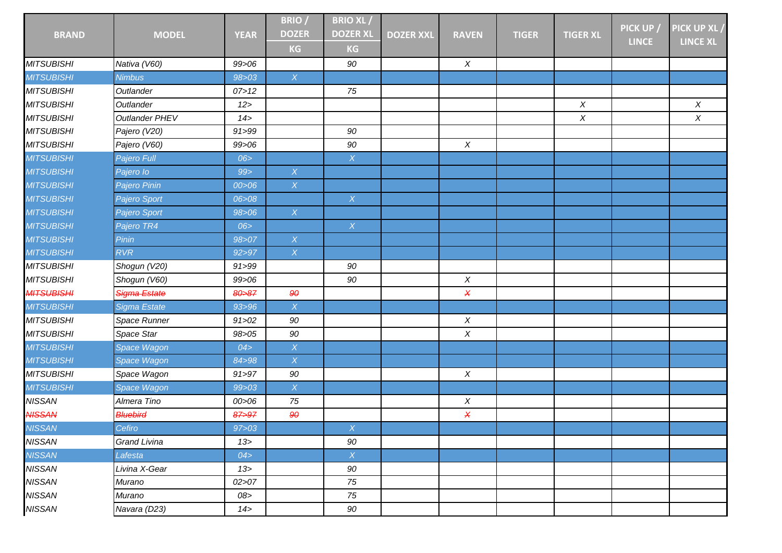|                   |                     |             | BRIO/            | <b>BRIO XL/</b>    |                  |                  |              |                 |              |                  |
|-------------------|---------------------|-------------|------------------|--------------------|------------------|------------------|--------------|-----------------|--------------|------------------|
| <b>BRAND</b>      | <b>MODEL</b>        | <b>YEAR</b> | <b>DOZER</b>     | <b>DOZER XL</b>    | <b>DOZER XXL</b> | <b>RAVEN</b>     | <b>TIGER</b> | <b>TIGER XL</b> | PICK UP /    | PICK UP XL /     |
|                   |                     |             | KG               | KG                 |                  |                  |              |                 | <b>LINCE</b> | <b>LINCE XL</b>  |
| <b>MITSUBISHI</b> | Nativa (V60)        | 99>06       |                  | 90                 |                  | $\chi$           |              |                 |              |                  |
| <b>MITSUBISHI</b> | <b>Nimbus</b>       | 98 > 03     | $\boldsymbol{X}$ |                    |                  |                  |              |                 |              |                  |
| <b>MITSUBISHI</b> | Outlander           | 07 > 12     |                  | 75                 |                  |                  |              |                 |              |                  |
| <b>MITSUBISHI</b> | Outlander           | 12 >        |                  |                    |                  |                  |              | $\chi$          |              | $\chi$           |
| <b>MITSUBISHI</b> | Outlander PHEV      | 14 >        |                  |                    |                  |                  |              | $\chi$          |              | $\boldsymbol{X}$ |
| <b>MITSUBISHI</b> | Pajero (V20)        | 91 > 99     |                  | 90                 |                  |                  |              |                 |              |                  |
| <b>MITSUBISHI</b> | Pajero (V60)        | 99>06       |                  | 90                 |                  | $\chi$           |              |                 |              |                  |
| <b>MITSUBISHI</b> | Pajero Full         | 06 >        |                  | $\boldsymbol{X}$   |                  |                  |              |                 |              |                  |
| <b>MITSUBISHI</b> | Pajero lo           | 99 >        | $\boldsymbol{X}$ |                    |                  |                  |              |                 |              |                  |
| <b>MITSUBISHI</b> | Pajero Pinin        | 00 > 06     | $\boldsymbol{X}$ |                    |                  |                  |              |                 |              |                  |
| <b>MITSUBISHI</b> | Pajero Sport        | 06>08       |                  | $\boldsymbol{X}$   |                  |                  |              |                 |              |                  |
| <b>MITSUBISHI</b> | Pajero Sport        | 98>06       | $\boldsymbol{X}$ |                    |                  |                  |              |                 |              |                  |
| <b>MITSUBISHI</b> | Pajero TR4          | 06>         |                  | $\boldsymbol{X}$   |                  |                  |              |                 |              |                  |
| <b>MITSUBISHI</b> | Pinin               | 98>07       | $\boldsymbol{X}$ |                    |                  |                  |              |                 |              |                  |
| <b>MITSUBISHI</b> | <b>RVR</b>          | 92>97       | $\boldsymbol{X}$ |                    |                  |                  |              |                 |              |                  |
| <b>MITSUBISHI</b> | Shogun (V20)        | 91>99       |                  | 90                 |                  |                  |              |                 |              |                  |
| <b>MITSUBISHI</b> | Shogun (V60)        | 99>06       |                  | 90                 |                  | $\chi$           |              |                 |              |                  |
| <b>MITSUBISHI</b> | Sigma Estate        | 80 > 87     | 90               |                    |                  | $\pmb{\times}$   |              |                 |              |                  |
| <b>MITSUBISHI</b> | <b>Sigma Estate</b> | 93>96       | $\boldsymbol{X}$ |                    |                  |                  |              |                 |              |                  |
| <b>MITSUBISHI</b> | Space Runner        | 91 > 02     | 90               |                    |                  | X                |              |                 |              |                  |
| <b>MITSUBISHI</b> | Space Star          | 98>05       | 90               |                    |                  | $\boldsymbol{X}$ |              |                 |              |                  |
| <b>MITSUBISHI</b> | Space Wagon         | 04 >        | $\boldsymbol{X}$ |                    |                  |                  |              |                 |              |                  |
| <b>MITSUBISHI</b> | Space Wagon         | 84>98       | $\vert X \vert$  |                    |                  |                  |              |                 |              |                  |
| <b>MITSUBISHI</b> | Space Wagon         | 91 > 97     | 90               |                    |                  | $\chi$           |              |                 |              |                  |
| <b>MITSUBISHI</b> | Space Wagon         | 99 > 03     | $\boldsymbol{X}$ |                    |                  |                  |              |                 |              |                  |
| <b>NISSAN</b>     | Almera Tino         | 00 > 06     | 75               |                    |                  | $\chi$           |              |                 |              |                  |
| <b>NISSAN</b>     | <b>Bluebird</b>     | 87>97       | 90               |                    |                  | $\pmb{\times}$   |              |                 |              |                  |
| <b>NISSAN</b>     | Cefiro              | 97 > 03     |                  | $X^{\circ}$        |                  |                  |              |                 |              |                  |
| <b>NISSAN</b>     | Grand Livina        | 13 >        |                  | 90                 |                  |                  |              |                 |              |                  |
| <b>NISSAN</b>     | Lafesta             | 04>         |                  | $\chi_{\parallel}$ |                  |                  |              |                 |              |                  |
| <b>NISSAN</b>     | Livina X-Gear       | 13 >        |                  | 90                 |                  |                  |              |                 |              |                  |
| <b>NISSAN</b>     | Murano              | 02 > 07     |                  | 75                 |                  |                  |              |                 |              |                  |
| <b>NISSAN</b>     | Murano              | 08>         |                  | 75                 |                  |                  |              |                 |              |                  |
| NISSAN            | Navara (D23)        | 14          |                  | 90                 |                  |                  |              |                 |              |                  |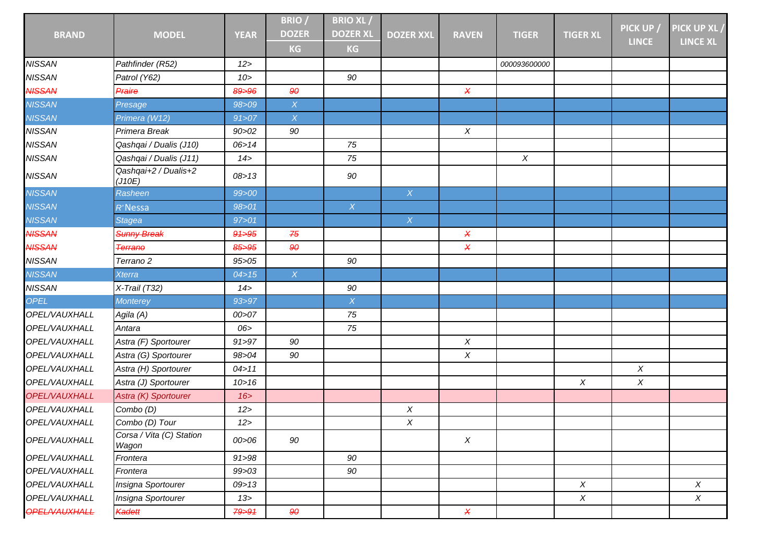| <b>BRAND</b>         | <b>MODEL</b>                      | <b>YEAR</b>     | BRIO /<br><b>DOZER</b><br>KG | <b>BRIO XL/</b><br><b>DOZER XL</b><br><b>KG</b> | <b>DOZER XXL</b> | <b>RAVEN</b>     | <b>TIGER</b> | <b>TIGER XL</b> | PICK UP /<br><b>LINCE</b> | PICK UP XL /<br><b>LINCE XL</b> |
|----------------------|-----------------------------------|-----------------|------------------------------|-------------------------------------------------|------------------|------------------|--------------|-----------------|---------------------------|---------------------------------|
| <b>NISSAN</b>        | Pathfinder (R52)                  | 12 >            |                              |                                                 |                  |                  | 000093600000 |                 |                           |                                 |
| <b>NISSAN</b>        | Patrol (Y62)                      | 10 >            |                              | 90                                              |                  |                  |              |                 |                           |                                 |
| <b>NISSAN</b>        | Praire                            | 89>96           | $9\theta$                    |                                                 |                  | $\chi$           |              |                 |                           |                                 |
| <b>NISSAN</b>        | Presage                           | 98>09           | $\boldsymbol{X}$             |                                                 |                  |                  |              |                 |                           |                                 |
| <b>NISSAN</b>        | Primera (W12)                     | 91 > 07         | $\boldsymbol{X}$             |                                                 |                  |                  |              |                 |                           |                                 |
| <b>NISSAN</b>        | Primera Break                     | 90 > 02         | 90                           |                                                 |                  | $\boldsymbol{X}$ |              |                 |                           |                                 |
| <b>NISSAN</b>        | Qashqai / Dualis (J10)            | 06 > 14         |                              | 75                                              |                  |                  |              |                 |                           |                                 |
| <b>NISSAN</b>        | Qashqai / Dualis (J11)            | 14 >            |                              | 75                                              |                  |                  | $\chi$       |                 |                           |                                 |
| <b>NISSAN</b>        | Qashqai+2 / Dualis+2<br>(J10E)    | 08 > 13         |                              | 90                                              |                  |                  |              |                 |                           |                                 |
| <b>NISSAN</b>        | Rasheen                           | 99>00           |                              |                                                 | X                |                  |              |                 |                           |                                 |
| <b>NISSAN</b>        | R'Nessa                           | 98 > 01         |                              | $\chi$                                          |                  |                  |              |                 |                           |                                 |
| <b>NISSAN</b>        | <b>Stagea</b>                     | 97 > 01         |                              |                                                 | $\boldsymbol{X}$ |                  |              |                 |                           |                                 |
| <b>NISSAN</b>        | Sunny Break                       | 91 > 95         | 75                           |                                                 |                  | $\pmb{\times}$   |              |                 |                           |                                 |
| <b>NISSAN</b>        | <b>Terrano</b>                    | 85>95           | 90                           |                                                 |                  | $\pmb{\times}$   |              |                 |                           |                                 |
| <b>NISSAN</b>        | Terrano 2                         | 95 > 05         |                              | 90                                              |                  |                  |              |                 |                           |                                 |
| <b>NISSAN</b>        | <b>Xterra</b>                     | 04 > 15         | $\boldsymbol{X}$             |                                                 |                  |                  |              |                 |                           |                                 |
| <b>NISSAN</b>        | $X$ -Trail (T32)                  | 14 >            |                              | 90                                              |                  |                  |              |                 |                           |                                 |
| OPEL                 | <b>Monterey</b>                   | 93>97           |                              | $\chi$                                          |                  |                  |              |                 |                           |                                 |
| OPEL/VAUXHALL        | Agila (A)                         | 00 > 07         |                              | 75                                              |                  |                  |              |                 |                           |                                 |
| OPEL/VAUXHALL        | Antara                            | 06>             |                              | 75                                              |                  |                  |              |                 |                           |                                 |
| OPEL/VAUXHALL        | Astra (F) Sportourer              | 91 > 97         | 90                           |                                                 |                  | $\chi$           |              |                 |                           |                                 |
| OPEL/VAUXHALL        | Astra (G) Sportourer              | 98>04           | 90                           |                                                 |                  | $\chi$           |              |                 |                           |                                 |
| OPEL/VAUXHALL        | Astra (H) Sportourer              | 04 > 11         |                              |                                                 |                  |                  |              |                 | $\chi$                    |                                 |
| OPEL/VAUXHALL        | Astra (J) Sportourer              | 10 > 16         |                              |                                                 |                  |                  |              | $\chi$          | $\boldsymbol{X}$          |                                 |
| OPEL/VAUXHALL        | Astra (K) Sportourer              | 16 <sub>5</sub> |                              |                                                 |                  |                  |              |                 |                           |                                 |
| OPEL/VAUXHALL        | Combo (D)                         | 12 >            |                              |                                                 | $\chi$           |                  |              |                 |                           |                                 |
| OPEL/VAUXHALL        | Combo (D) Tour                    | 12>             |                              |                                                 | $\chi$           |                  |              |                 |                           |                                 |
| OPEL/VAUXHALL        | Corsa / Vita (C) Station<br>Wagon | 00 > 06         | 90                           |                                                 |                  | X                |              |                 |                           |                                 |
| OPEL/VAUXHALL        | Frontera                          | 91 > 98         |                              | 90                                              |                  |                  |              |                 |                           |                                 |
| OPEL/VAUXHALL        | Frontera                          | 99 > 03         |                              | 90                                              |                  |                  |              |                 |                           |                                 |
| OPEL/VAUXHALL        | Insigna Sportourer                | 09 > 13         |                              |                                                 |                  |                  |              | $\chi$          |                           | $\chi$                          |
| OPEL/VAUXHALL        | Insigna Sportourer                | 13 >            |                              |                                                 |                  |                  |              | $\chi$          |                           | $\chi$                          |
| <b>OPEL/VAUXHALL</b> | Kadett                            | 79>91           | 90                           |                                                 |                  | $\chi$           |              |                 |                           |                                 |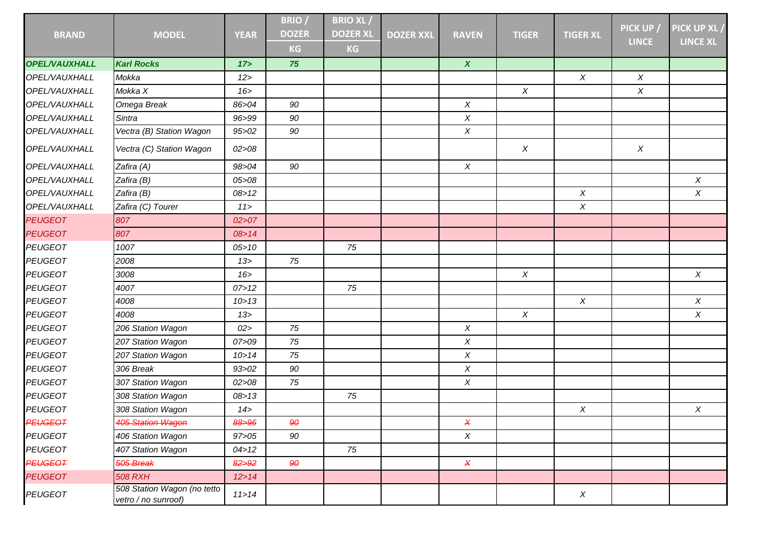|                      |                                                    |                    | BRIO /       | <b>BRIO XL/</b> |                  |                  |              |                 |                           | PICK UP XL /     |
|----------------------|----------------------------------------------------|--------------------|--------------|-----------------|------------------|------------------|--------------|-----------------|---------------------------|------------------|
| <b>BRAND</b>         | <b>MODEL</b>                                       | <b>YEAR</b>        | <b>DOZER</b> | <b>DOZER XL</b> | <b>DOZER XXL</b> | <b>RAVEN</b>     | <b>TIGER</b> | <b>TIGER XL</b> | PICK UP /<br><b>LINCE</b> | <b>LINCE XL</b>  |
|                      |                                                    |                    | <b>KG</b>    | KG              |                  |                  |              |                 |                           |                  |
| <b>OPEL/VAUXHALL</b> | <b>Karl Rocks</b>                                  | 17 <sub>&gt;</sub> | 75           |                 |                  | $\boldsymbol{X}$ |              |                 |                           |                  |
| OPEL/VAUXHALL        | Mokka                                              | 12 >               |              |                 |                  |                  |              | $\chi$          | $\chi$                    |                  |
| OPEL/VAUXHALL        | Mokka X                                            | 16 >               |              |                 |                  |                  | $\chi$       |                 | X                         |                  |
| OPEL/VAUXHALL        | Omega Break                                        | 86>04              | 90           |                 |                  | $\chi$           |              |                 |                           |                  |
| OPEL/VAUXHALL        | <b>Sintra</b>                                      | 96>99              | 90           |                 |                  | $\chi$           |              |                 |                           |                  |
| OPEL/VAUXHALL        | Vectra (B) Station Wagon                           | 95 > 02            | 90           |                 |                  | X                |              |                 |                           |                  |
| OPEL/VAUXHALL        | Vectra (C) Station Wagon                           | 02 > 08            |              |                 |                  |                  | $\chi$       |                 | X                         |                  |
| OPEL/VAUXHALL        | Zafira (A)                                         | 98>04              | 90           |                 |                  | $\chi$           |              |                 |                           |                  |
| OPEL/VAUXHALL        | Zafira (B)                                         | 05>08              |              |                 |                  |                  |              |                 |                           | $\chi$           |
| OPEL/VAUXHALL        | Zafira (B)                                         | 08 > 12            |              |                 |                  |                  |              | $\chi$          |                           | $\chi$           |
| OPEL/VAUXHALL        | Zafira (C) Tourer                                  | 11 >               |              |                 |                  |                  |              | $\chi$          |                           |                  |
| <b>PEUGEOT</b>       | 807                                                | 02 > 07            |              |                 |                  |                  |              |                 |                           |                  |
| <b>PEUGEOT</b>       | 807                                                | 08 > 14            |              |                 |                  |                  |              |                 |                           |                  |
| <b>PEUGEOT</b>       | 1007                                               | 05 > 10            |              | 75              |                  |                  |              |                 |                           |                  |
| <b>PEUGEOT</b>       | 2008                                               | 13 >               | 75           |                 |                  |                  |              |                 |                           |                  |
| <b>PEUGEOT</b>       | 3008                                               | 16 >               |              |                 |                  |                  | $\chi$       |                 |                           | $\chi$           |
| <b>PEUGEOT</b>       | 4007                                               | 07 > 12            |              | 75              |                  |                  |              |                 |                           |                  |
| <b>PEUGEOT</b>       | 4008                                               | 10 > 13            |              |                 |                  |                  |              | $\chi$          |                           | $\chi$           |
| <b>PEUGEOT</b>       | 4008                                               | 13 >               |              |                 |                  |                  | $\chi$       |                 |                           | $\boldsymbol{X}$ |
| <b>PEUGEOT</b>       | 206 Station Wagon                                  | 02 >               | 75           |                 |                  | $\chi$           |              |                 |                           |                  |
| <b>PEUGEOT</b>       | 207 Station Wagon                                  | 07 > 09            | 75           |                 |                  | $\chi$           |              |                 |                           |                  |
| <b>PEUGEOT</b>       | 207 Station Wagon                                  | 10 > 14            | 75           |                 |                  | $\chi$           |              |                 |                           |                  |
| <b>PEUGEOT</b>       | 306 Break                                          | 93 > 02            | 90           |                 |                  | X                |              |                 |                           |                  |
| <b>PEUGEOT</b>       | 307 Station Wagon                                  | 02 > 08            | 75           |                 |                  | X                |              |                 |                           |                  |
| <b>PEUGEOT</b>       | 308 Station Wagon                                  | 08 > 13            |              | 75              |                  |                  |              |                 |                           |                  |
| <b>PEUGEOT</b>       | 308 Station Wagon                                  | 14 >               |              |                 |                  |                  |              | $\chi$          |                           | $\chi$           |
| <b>PEUGEOT</b>       | 405 Station Wagon                                  | 88>96              | 90           |                 |                  | $\pmb{\times}$   |              |                 |                           |                  |
| <b>PEUGEOT</b>       | 406 Station Wagon                                  | 97 > 05            | 90           |                 |                  | $\chi$           |              |                 |                           |                  |
| PEUGEOT              | 407 Station Wagon                                  | 04 > 12            |              | 75              |                  |                  |              |                 |                           |                  |
| <b>PEUGEOT</b>       | 505 Break                                          | 82>92              | 90           |                 |                  | $\chi$           |              |                 |                           |                  |
| <b>PEUGEOT</b>       | <b>508 RXH</b>                                     | 12 > 14            |              |                 |                  |                  |              |                 |                           |                  |
| PEUGEOT              | 508 Station Wagon (no tetto<br>vetro / no sunroof) | 11 > 14            |              |                 |                  |                  |              | $\chi$          |                           |                  |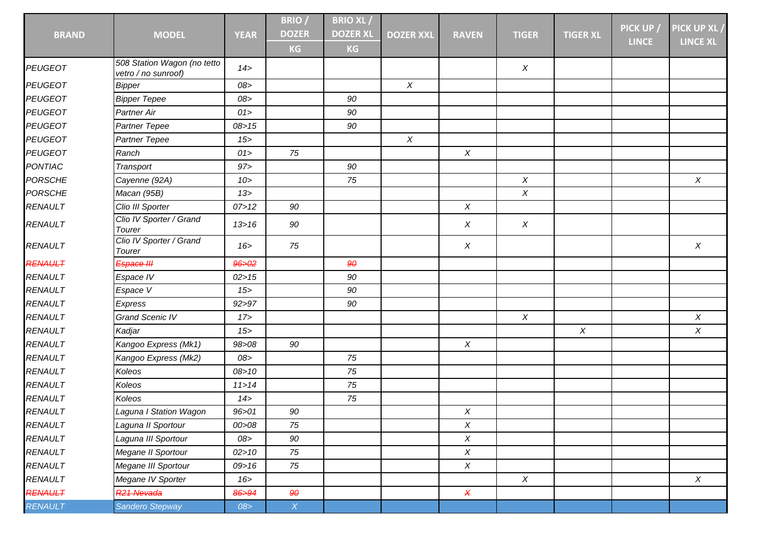|                |                                                    |                    | BRIO /           | <b>BRIO XL /</b> |                  |                  |              |                 |              |                  |
|----------------|----------------------------------------------------|--------------------|------------------|------------------|------------------|------------------|--------------|-----------------|--------------|------------------|
| <b>BRAND</b>   | <b>MODEL</b>                                       | <b>YEAR</b>        | <b>DOZER</b>     | <b>DOZER XL</b>  | <b>DOZER XXL</b> | <b>RAVEN</b>     | <b>TIGER</b> | <b>TIGER XL</b> | PICK UP /    | PICK UP XL /     |
|                |                                                    |                    | <b>KG</b>        | KG               |                  |                  |              |                 | <b>LINCE</b> | <b>LINCE XL</b>  |
| <b>PEUGEOT</b> | 508 Station Wagon (no tetto<br>vetro / no sunroof) | 14                 |                  |                  |                  |                  | $\chi$       |                 |              |                  |
| <b>PEUGEOT</b> | <b>Bipper</b>                                      | 08>                |                  |                  | $\chi$           |                  |              |                 |              |                  |
| <b>PEUGEOT</b> | <b>Bipper Tepee</b>                                | 08>                |                  | 90               |                  |                  |              |                 |              |                  |
| <b>PEUGEOT</b> | Partner Air                                        | 01>                |                  | 90               |                  |                  |              |                 |              |                  |
| <b>PEUGEOT</b> | Partner Tepee                                      | 08 > 15            |                  | 90               |                  |                  |              |                 |              |                  |
| <b>PEUGEOT</b> | Partner Tepee                                      | 15 <sub>&gt;</sub> |                  |                  | $\chi$           |                  |              |                 |              |                  |
| <b>PEUGEOT</b> | Ranch                                              | 01>                | 75               |                  |                  | $\chi$           |              |                 |              |                  |
| <b>PONTIAC</b> | Transport                                          | 97 >               |                  | 90               |                  |                  |              |                 |              |                  |
| <b>PORSCHE</b> | Cayenne (92A)                                      | 10 >               |                  | 75               |                  |                  | $\chi$       |                 |              | $\chi$           |
| <b>PORSCHE</b> | Macan (95B)                                        | 13 >               |                  |                  |                  |                  | $\chi$       |                 |              |                  |
| <b>RENAULT</b> | Clio III Sporter                                   | 07 > 12            | 90               |                  |                  | $\chi$           |              |                 |              |                  |
| <b>RENAULT</b> | Clio IV Sporter / Grand<br>Tourer                  | 13 > 16            | 90               |                  |                  | $\chi$           | $\chi$       |                 |              |                  |
| <b>RENAULT</b> | Clio IV Sporter / Grand<br>Tourer                  | 16                 | 75               |                  |                  | $\chi$           |              |                 |              | $\chi$           |
| <b>RENAULT</b> | Espace III                                         | 96 > 02            |                  | 90               |                  |                  |              |                 |              |                  |
| <b>RENAULT</b> | Espace IV                                          | 02 > 15            |                  | 90               |                  |                  |              |                 |              |                  |
| <b>RENAULT</b> | Espace V                                           | 15                 |                  | 90               |                  |                  |              |                 |              |                  |
| <b>RENAULT</b> | Express                                            | 92>97              |                  | 90               |                  |                  |              |                 |              |                  |
| <b>RENAULT</b> | Grand Scenic IV                                    | 17 <sub>&gt;</sub> |                  |                  |                  |                  | $\chi$       |                 |              | $\chi$           |
| <b>RENAULT</b> | Kadjar                                             | 15 <sub>&gt;</sub> |                  |                  |                  |                  |              | $\chi$          |              | $\boldsymbol{X}$ |
| <b>RENAULT</b> | Kangoo Express (Mk1)                               | 98>08              | 90               |                  |                  | $\chi$           |              |                 |              |                  |
| <b>RENAULT</b> | Kangoo Express (Mk2)                               | 08>                |                  | 75               |                  |                  |              |                 |              |                  |
| <b>RENAULT</b> | Koleos                                             | 08 > 10            |                  | 75               |                  |                  |              |                 |              |                  |
| <b>RENAULT</b> | Koleos                                             | 11 > 14            |                  | 75               |                  |                  |              |                 |              |                  |
| <b>RENAULT</b> | Koleos                                             | 14 >               |                  | 75               |                  |                  |              |                 |              |                  |
| <b>RENAULT</b> | Laguna I Station Wagon                             | 96 > 01            | 90               |                  |                  | $\chi$           |              |                 |              |                  |
| <b>RENAULT</b> | Laguna II Sportour                                 | 00>08              | 75               |                  |                  | X                |              |                 |              |                  |
| RENAULT        | Laguna III Sportour                                | 08>                | 90               |                  |                  | $\boldsymbol{X}$ |              |                 |              |                  |
| <b>RENAULT</b> | Megane II Sportour                                 | 02 > 10            | 75               |                  |                  | X                |              |                 |              |                  |
| <b>RENAULT</b> | Megane III Sportour                                | 09 > 16            | 75               |                  |                  | $\chi$           |              |                 |              |                  |
| <b>RENAULT</b> | Megane IV Sporter                                  | 16 >               |                  |                  |                  |                  | $\chi$       |                 |              | $\chi$           |
| <b>RENAULT</b> | R <sub>21</sub> Nevada                             | 86>94              | $9\theta$        |                  |                  | $\pmb{\times}$   |              |                 |              |                  |
| <b>RENAULT</b> | Sandero Stepway                                    | 08 >               | $\boldsymbol{X}$ |                  |                  |                  |              |                 |              |                  |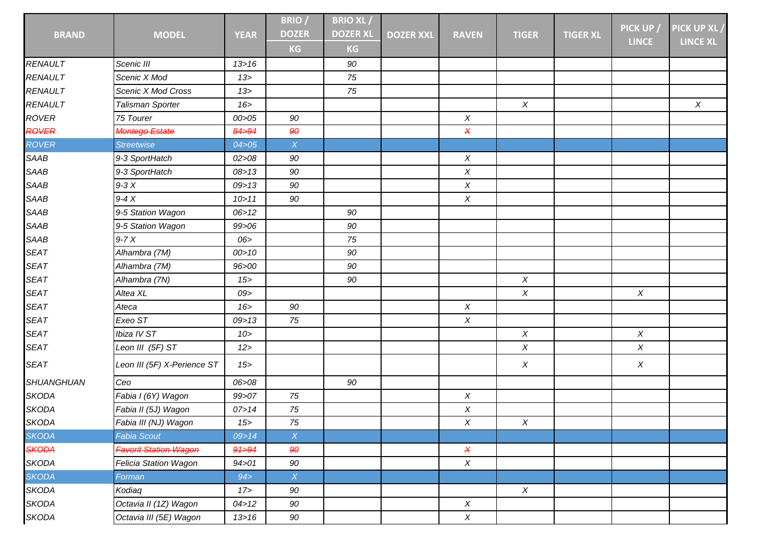|                |                             |                    | BRIO /           | <b>BRIO XL</b>  |                  |                           |              |                 |                           | PICK UP XL /    |
|----------------|-----------------------------|--------------------|------------------|-----------------|------------------|---------------------------|--------------|-----------------|---------------------------|-----------------|
| <b>BRAND</b>   | <b>MODEL</b>                | <b>YEAR</b>        | <b>DOZER</b>     | <b>DOZER XL</b> | <b>DOZER XXL</b> | <b>RAVEN</b>              | <b>TIGER</b> | <b>TIGER XL</b> | PICK UP /<br><b>LINCE</b> | <b>LINCE XL</b> |
|                |                             |                    | KG               | KG              |                  |                           |              |                 |                           |                 |
| RENAULT        | Scenic III                  | 13 > 16            |                  | 90              |                  |                           |              |                 |                           |                 |
| <b>RENAULT</b> | Scenic X Mod                | 13 >               |                  | 75              |                  |                           |              |                 |                           |                 |
| RENAULT        | Scenic X Mod Cross          | 13 >               |                  | 75              |                  |                           |              |                 |                           |                 |
| RENAULT        | Talisman Sporter            | 16 <sub>5</sub>    |                  |                 |                  |                           | $\chi$       |                 |                           | $\chi$          |
| <b>ROVER</b>   | 75 Tourer                   | 00 > 05            | 90               |                 |                  | $\chi$                    |              |                 |                           |                 |
| <b>ROVER</b>   | Montego Estate              | 84>94              | 90               |                 |                  | $\pmb{\times}$            |              |                 |                           |                 |
| <b>ROVER</b>   | <b>Streetwise</b>           | 04 > 05            | $\boldsymbol{X}$ |                 |                  |                           |              |                 |                           |                 |
| <b>SAAB</b>    | 9-3 SportHatch              | 02 > 08            | 90               |                 |                  | $\chi$                    |              |                 |                           |                 |
| <b>SAAB</b>    | 9-3 SportHatch              | 08 > 13            | 90               |                 |                  | $\chi$                    |              |                 |                           |                 |
| <b>SAAB</b>    | $9-3X$                      | 09 > 13            | 90               |                 |                  | $\chi$                    |              |                 |                           |                 |
| <b>SAAB</b>    | $9-4X$                      | 10 > 11            | 90               |                 |                  | $\chi$                    |              |                 |                           |                 |
| <b>SAAB</b>    | 9-5 Station Wagon           | 06 > 12            |                  | 90              |                  |                           |              |                 |                           |                 |
| <b>SAAB</b>    | 9-5 Station Wagon           | 99>06              |                  | 90              |                  |                           |              |                 |                           |                 |
| <b>SAAB</b>    | $9-7X$                      | 06>                |                  | 75              |                  |                           |              |                 |                           |                 |
| <b>SEAT</b>    | Alhambra (7M)               | 00 > 10            |                  | 90              |                  |                           |              |                 |                           |                 |
| <b>SEAT</b>    | Alhambra (7M)               | 96>00              |                  | 90              |                  |                           |              |                 |                           |                 |
| <b>SEAT</b>    | Alhambra (7N)               | 15 <sub>&gt;</sub> |                  | 90              |                  |                           | $\chi$       |                 |                           |                 |
| <b>SEAT</b>    | Altea XL                    | 09>                |                  |                 |                  |                           | $\chi$       |                 | $\chi$                    |                 |
| <b>SEAT</b>    | Ateca                       | 16 >               | 90               |                 |                  | $\chi$                    |              |                 |                           |                 |
| <b>SEAT</b>    | Exeo ST                     | 09 > 13            | 75               |                 |                  | $\chi$                    |              |                 |                           |                 |
| <b>SEAT</b>    | Ibiza IV ST                 | 10 >               |                  |                 |                  |                           | $\chi$       |                 | $\chi$                    |                 |
| <b>SEAT</b>    | Leon III (5F) ST            | 12 >               |                  |                 |                  |                           | $\chi$       |                 | $\boldsymbol{X}$          |                 |
| <b>SEAT</b>    | Leon III (5F) X-Perience ST | 15 <sub>2</sub>    |                  |                 |                  |                           | $\chi$       |                 | X                         |                 |
| SHUANGHUAN     | Ceo                         | 06>08              |                  | 90              |                  |                           |              |                 |                           |                 |
| <b>SKODA</b>   | Fabia I (6Y) Wagon          | 99>07              | 75               |                 |                  | $\chi$                    |              |                 |                           |                 |
| <b>SKODA</b>   | Fabia II (5J) Wagon         | 07 > 14            | 75               |                 |                  | $\chi$                    |              |                 |                           |                 |
| <b>SKODA</b>   | Fabia III (NJ) Wagon        | $15 -$             | 75               |                 |                  | $\chi$                    | $\chi$       |                 |                           |                 |
| <b>SKODA</b>   | <b>Fabia Scout</b>          | 09 > 14            | $\boldsymbol{X}$ |                 |                  |                           |              |                 |                           |                 |
| <b>SKODA</b>   | Favorit Station Wagon       | 91 > 94            | 90               |                 |                  | $\boldsymbol{\mathsf{X}}$ |              |                 |                           |                 |
| <b>SKODA</b>   | Felicia Station Wagon       | 94 > 01            | $90\,$           |                 |                  | $\chi$                    |              |                 |                           |                 |
| <b>SKODA</b>   | Forman                      | 94>                | $\boldsymbol{X}$ |                 |                  |                           |              |                 |                           |                 |
| SKODA          | Kodiaq                      | 17                 | 90               |                 |                  |                           | $\chi$       |                 |                           |                 |
| <b>SKODA</b>   | Octavia II (1Z) Wagon       | 04 > 12            | $90\,$           |                 |                  | $\chi$                    |              |                 |                           |                 |
| <b>SKODA</b>   | Octavia III (5E) Wagon      | 13 > 16            | 90               |                 |                  | $\chi$                    |              |                 |                           |                 |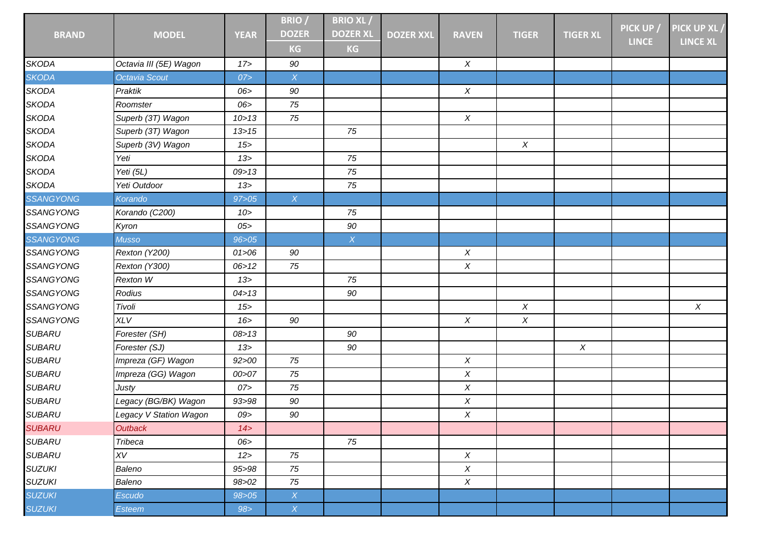|                  |                        |                    | <b>BRIO</b> /    | <b>BRIO XL/</b>  |                  |                           |                  |                 |              |                 |
|------------------|------------------------|--------------------|------------------|------------------|------------------|---------------------------|------------------|-----------------|--------------|-----------------|
| <b>BRAND</b>     | <b>MODEL</b>           | <b>YEAR</b>        | <b>DOZER</b>     | <b>DOZER XL</b>  | <b>DOZER XXL</b> | <b>RAVEN</b>              | <b>TIGER</b>     | <b>TIGER XL</b> | PICK UP /    | PICK UP XL      |
|                  |                        |                    | KG               | KG               |                  |                           |                  |                 | <b>LINCE</b> | <b>LINCE XL</b> |
| <b>SKODA</b>     | Octavia III (5E) Wagon | 17 <sub>&gt;</sub> | 90               |                  |                  | $\chi$                    |                  |                 |              |                 |
| <b>SKODA</b>     | <b>Octavia Scout</b>   | 07 >               | $\boldsymbol{X}$ |                  |                  |                           |                  |                 |              |                 |
| <b>SKODA</b>     | Praktik                | 06>                | 90               |                  |                  | $\chi$                    |                  |                 |              |                 |
| <b>SKODA</b>     | Roomster               | 06>                | 75               |                  |                  |                           |                  |                 |              |                 |
| <b>SKODA</b>     | Superb (3T) Wagon      | 10 > 13            | 75               |                  |                  | $\chi$                    |                  |                 |              |                 |
| <b>SKODA</b>     | Superb (3T) Wagon      | 13 > 15            |                  | 75               |                  |                           |                  |                 |              |                 |
| <b>SKODA</b>     | Superb (3V) Wagon      | $15 -$             |                  |                  |                  |                           | $\chi$           |                 |              |                 |
| <b>SKODA</b>     | Yeti                   | 13 >               |                  | 75               |                  |                           |                  |                 |              |                 |
| <b>SKODA</b>     | Yeti (5L)              | 09 > 13            |                  | 75               |                  |                           |                  |                 |              |                 |
| <b>SKODA</b>     | Yeti Outdoor           | 13 >               |                  | 75               |                  |                           |                  |                 |              |                 |
| <b>SSANGYONG</b> | Korando                | 97 > 05            | X                |                  |                  |                           |                  |                 |              |                 |
| <b>SSANGYONG</b> | Korando (C200)         | 10 >               |                  | 75               |                  |                           |                  |                 |              |                 |
| <b>SSANGYONG</b> | Kyron                  | 05 >               |                  | 90               |                  |                           |                  |                 |              |                 |
| <b>SSANGYONG</b> | <b>Musso</b>           | 96 > 05            |                  | $\boldsymbol{X}$ |                  |                           |                  |                 |              |                 |
| <b>SSANGYONG</b> | Rexton (Y200)          | 01 > 06            | 90               |                  |                  | $\chi$                    |                  |                 |              |                 |
| <b>SSANGYONG</b> | Rexton (Y300)          | 06 > 12            | 75               |                  |                  | $\chi$                    |                  |                 |              |                 |
| <b>SSANGYONG</b> | Rexton W               | 13 >               |                  | 75               |                  |                           |                  |                 |              |                 |
| <b>SSANGYONG</b> | Rodius                 | 04 > 13            |                  | 90               |                  |                           |                  |                 |              |                 |
| <b>SSANGYONG</b> | Tivoli                 | 15                 |                  |                  |                  |                           | $\boldsymbol{X}$ |                 |              | $\chi$          |
| <b>SSANGYONG</b> | XLV                    | 16                 | 90               |                  |                  | $\chi$                    | $\chi$           |                 |              |                 |
| <b>SUBARU</b>    | Forester (SH)          | 08 > 13            |                  | 90               |                  |                           |                  |                 |              |                 |
| <b>SUBARU</b>    | Forester (SJ)          | 13 >               |                  | 90               |                  |                           |                  | $\chi$          |              |                 |
| <b>SUBARU</b>    | Impreza (GF) Wagon     | 92 > 00            | 75               |                  |                  | $\chi$                    |                  |                 |              |                 |
| <b>SUBARU</b>    | Impreza (GG) Wagon     | 00 > 07            | 75               |                  |                  | $\boldsymbol{X}$          |                  |                 |              |                 |
| <b>SUBARU</b>    | Justy                  | 07 >               | 75               |                  |                  | $\boldsymbol{\mathsf{X}}$ |                  |                 |              |                 |
| <b>SUBARU</b>    | Legacy (BG/BK) Wagon   | 93>98              | 90               |                  |                  | $\chi$                    |                  |                 |              |                 |
| <b>SUBARU</b>    | Legacy V Station Wagon | 09>                | 90               |                  |                  | $\chi$                    |                  |                 |              |                 |
| <b>SUBARU</b>    | Outback                | 14>                |                  |                  |                  |                           |                  |                 |              |                 |
| <b>SUBARU</b>    | Tribeca                | 06>                |                  | 75               |                  |                           |                  |                 |              |                 |
| <b>SUBARU</b>    | XV                     | 12 >               | 75               |                  |                  | $\chi$                    |                  |                 |              |                 |
| <b>SUZUKI</b>    | Baleno                 | 95>98              | 75               |                  |                  | $\boldsymbol{X}$          |                  |                 |              |                 |
| <b>SUZUKI</b>    | Baleno                 | 98 > 02            | 75               |                  |                  | $\chi$                    |                  |                 |              |                 |
| <b>SUZUKI</b>    | Escudo                 | 98 > 05            | $\boldsymbol{X}$ |                  |                  |                           |                  |                 |              |                 |
| <b>SUZUKI</b>    | Esteem                 | 98 >               | $\boldsymbol{X}$ |                  |                  |                           |                  |                 |              |                 |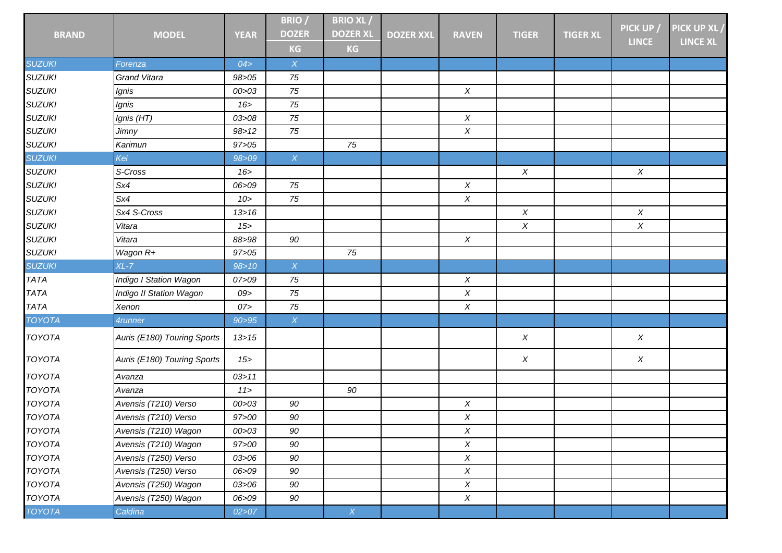|               |                             |                    | BRIO /           | <b>BRIO XL7</b> |                  |                  |              |                 |                  |                 |
|---------------|-----------------------------|--------------------|------------------|-----------------|------------------|------------------|--------------|-----------------|------------------|-----------------|
| <b>BRAND</b>  | <b>MODEL</b>                | <b>YEAR</b>        | <b>DOZER</b>     | <b>DOZER XL</b> | <b>DOZER XXL</b> | <b>RAVEN</b>     | <b>TIGER</b> | <b>TIGER XL</b> | PICK UP /        | PICK UP XL /    |
|               |                             |                    | KG               | KG              |                  |                  |              |                 | <b>LINCE</b>     | <b>LINCE XL</b> |
| <b>SUZUKI</b> | Forenza                     | 04>                | $\boldsymbol{X}$ |                 |                  |                  |              |                 |                  |                 |
| <b>SUZUKI</b> | <b>Grand Vitara</b>         | 98>05              | 75               |                 |                  |                  |              |                 |                  |                 |
| <b>SUZUKI</b> | Ignis                       | 00 > 03            | 75               |                 |                  | $\chi$           |              |                 |                  |                 |
| <b>SUZUKI</b> | Ignis                       | 16 <sub>5</sub>    | 75               |                 |                  |                  |              |                 |                  |                 |
| <b>SUZUKI</b> | Ignis (HT)                  | 03>08              | 75               |                 |                  | $\chi$           |              |                 |                  |                 |
| <b>SUZUKI</b> | Jimny                       | 98 > 12            | 75               |                 |                  | $\chi$           |              |                 |                  |                 |
| <b>SUZUKI</b> | Karimun                     | 97 > 05            |                  | 75              |                  |                  |              |                 |                  |                 |
| <b>SUZUKI</b> | Kei                         | 98>09              | $\vert X \vert$  |                 |                  |                  |              |                 |                  |                 |
| <b>SUZUKI</b> | S-Cross                     | 16 <sub>5</sub>    |                  |                 |                  |                  | $\chi$       |                 | $\chi$           |                 |
| <b>SUZUKI</b> | Sx4                         | 06>09              | 75               |                 |                  | $\chi$           |              |                 |                  |                 |
| <b>SUZUKI</b> | Sx4                         | 10 >               | 75               |                 |                  | $\chi$           |              |                 |                  |                 |
| <b>SUZUKI</b> | Sx4 S-Cross                 | 13 > 16            |                  |                 |                  |                  | $\chi$       |                 | $\chi$           |                 |
| <b>SUZUKI</b> | Vitara                      | 15 <sub>&gt;</sub> |                  |                 |                  |                  | $\chi$       |                 | $\chi$           |                 |
| <b>SUZUKI</b> | Vitara                      | 88>98              | 90               |                 |                  | $\chi$           |              |                 |                  |                 |
| <b>SUZUKI</b> | Wagon R+                    | 97 > 05            |                  | 75              |                  |                  |              |                 |                  |                 |
| <b>SUZUKI</b> | $XL - 7$                    | 98 > 10            | $\boldsymbol{X}$ |                 |                  |                  |              |                 |                  |                 |
| <b>TATA</b>   | Indigo I Station Wagon      | 07>09              | 75               |                 |                  | $\chi$           |              |                 |                  |                 |
| <b>TATA</b>   | Indigo II Station Wagon     | 09 >               | 75               |                 |                  | $\chi$           |              |                 |                  |                 |
| <b>TATA</b>   | Xenon                       | 07 >               | 75               |                 |                  | $\chi$           |              |                 |                  |                 |
| <b>TOYOTA</b> | <b>4runner</b>              | 90 > 95            | $\boldsymbol{X}$ |                 |                  |                  |              |                 |                  |                 |
| <b>TOYOTA</b> | Auris (E180) Touring Sports | 13 > 15            |                  |                 |                  |                  | $\chi$       |                 | $\chi$           |                 |
| TOYOTA        | Auris (E180) Touring Sports | 15                 |                  |                 |                  |                  | $\chi$       |                 | $\boldsymbol{X}$ |                 |
| <b>TOYOTA</b> | Avanza                      | 03 > 11            |                  |                 |                  |                  |              |                 |                  |                 |
| TOYOTA        | Avanza                      | 11                 |                  | 90              |                  |                  |              |                 |                  |                 |
| <b>TOYOTA</b> | Avensis (T210) Verso        | 00 > 03            | 90               |                 |                  | $\boldsymbol{X}$ |              |                 |                  |                 |
| <b>TOYOTA</b> | Avensis (T210) Verso        | 97>00              | 90               |                 |                  | $\chi$           |              |                 |                  |                 |
| <b>TOYOTA</b> | Avensis (T210) Wagon        | 00 > 03            | 90               |                 |                  | $\chi$           |              |                 |                  |                 |
| TOYOTA        | Avensis (T210) Wagon        | 97>00              | 90               |                 |                  | $\chi$           |              |                 |                  |                 |
| TOYOTA        | Avensis (T250) Verso        | 03>06              | 90               |                 |                  | $\boldsymbol{X}$ |              |                 |                  |                 |
| TOYOTA        | Avensis (T250) Verso        | 06>09              | 90               |                 |                  | $\chi$           |              |                 |                  |                 |
| TOYOTA        | Avensis (T250) Wagon        | 03>06              | 90               |                 |                  | $\chi$           |              |                 |                  |                 |
| TOYOTA        | Avensis (T250) Wagon        | 06>09              | 90               |                 |                  | $\chi$           |              |                 |                  |                 |
| <b>TOYOTA</b> | Caldina                     | 02 > 07            |                  | $X^{\circ}$     |                  |                  |              |                 |                  |                 |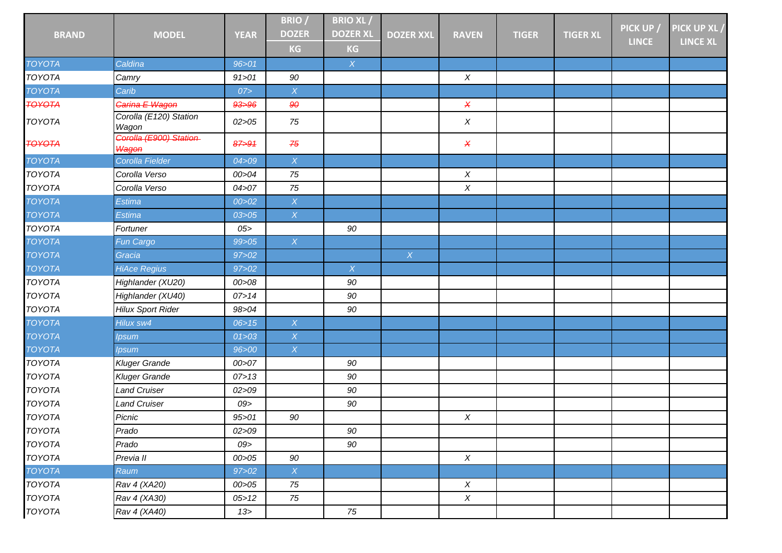|               |                                 |             | BRIO /           | <b>BRIO XL/</b>  |                  |                |              |                 |              |                 |
|---------------|---------------------------------|-------------|------------------|------------------|------------------|----------------|--------------|-----------------|--------------|-----------------|
| <b>BRAND</b>  | <b>MODEL</b>                    | <b>YEAR</b> | <b>DOZER</b>     | <b>DOZER XL</b>  | <b>DOZER XXL</b> | <b>RAVEN</b>   | <b>TIGER</b> | <b>TIGER XL</b> | PICK UP /    | PICK UP XL      |
|               |                                 |             | KG               | KG               |                  |                |              |                 | <b>LINCE</b> | <b>LINCE XL</b> |
| <b>TOYOTA</b> | Caldina                         | 96 > 01     |                  | $\boldsymbol{X}$ |                  |                |              |                 |              |                 |
| TOYOTA        | Camry                           | 91 > 01     | 90               |                  |                  | $\chi$         |              |                 |              |                 |
| <b>TOYOTA</b> | Carib                           | 07 >        | $\boldsymbol{X}$ |                  |                  |                |              |                 |              |                 |
| <b>TOYOTA</b> | Carina E Wagon                  | 93>96       | 90               |                  |                  | $\chi$         |              |                 |              |                 |
| TOYOTA        | Corolla (E120) Station<br>Wagon | 02 > 05     | 75               |                  |                  | $\chi$         |              |                 |              |                 |
| <b>TOYOTA</b> | Corolla (E900) Station<br>Wagon | 87 > 91     | 75               |                  |                  | $\pmb{\times}$ |              |                 |              |                 |
| <b>TOYOTA</b> | Corolla Fielder                 | 04 > 09     | $\chi$           |                  |                  |                |              |                 |              |                 |
| TOYOTA        | Corolla Verso                   | 00 > 04     | 75               |                  |                  | $\chi$         |              |                 |              |                 |
| <b>TOYOTA</b> | Corolla Verso                   | 04 > 07     | 75               |                  |                  | $\chi$         |              |                 |              |                 |
| <b>TOYOTA</b> | <b>Estima</b>                   | 00 > 02     | $\boldsymbol{X}$ |                  |                  |                |              |                 |              |                 |
| <b>TOYOTA</b> | Estima                          | 03 > 05     | $\boldsymbol{X}$ |                  |                  |                |              |                 |              |                 |
| TOYOTA        | Fortuner                        | 05 >        |                  | 90               |                  |                |              |                 |              |                 |
| <b>TOYOTA</b> | Fun Cargo                       | 99 > 05     | $\boldsymbol{X}$ |                  |                  |                |              |                 |              |                 |
| <b>TOYOTA</b> | Gracia                          | 97 > 02     |                  |                  | $\boldsymbol{X}$ |                |              |                 |              |                 |
| <b>TOYOTA</b> | <b>HiAce Regius</b>             | 97 > 02     |                  | $\boldsymbol{X}$ |                  |                |              |                 |              |                 |
| TOYOTA        | Highlander (XU20)               | 00>08       |                  | 90               |                  |                |              |                 |              |                 |
| <b>TOYOTA</b> | Highlander (XU40)               | 07 > 14     |                  | 90               |                  |                |              |                 |              |                 |
| <b>TOYOTA</b> | <b>Hilux Sport Rider</b>        | 98>04       |                  | 90               |                  |                |              |                 |              |                 |
| <b>TOYOTA</b> | Hilux sw4                       | 06 > 15     | $\boldsymbol{X}$ |                  |                  |                |              |                 |              |                 |
| <b>TOYOTA</b> | <b>Ipsum</b>                    | 01 > 03     | $\boldsymbol{X}$ |                  |                  |                |              |                 |              |                 |
| <b>TOYOTA</b> | <b>Ipsum</b>                    | 96>00       | $\boldsymbol{X}$ |                  |                  |                |              |                 |              |                 |
| <b>TOYOTA</b> | <b>Kluger Grande</b>            | 00 > 07     |                  | 90               |                  |                |              |                 |              |                 |
| TOYOTA        | Kluger Grande                   | 07 > 13     |                  | 90               |                  |                |              |                 |              |                 |
| TOYOTA        | <b>Land Cruiser</b>             | 02 > 09     |                  | 90               |                  |                |              |                 |              |                 |
| <b>TOYOTA</b> | <b>Land Cruiser</b>             | 09 >        |                  | 90               |                  |                |              |                 |              |                 |
| <b>TOYOTA</b> | Picnic                          | 95 > 01     | 90               |                  |                  | $\chi$         |              |                 |              |                 |
| <b>TOYOTA</b> | Prado                           | 02 > 09     |                  | 90               |                  |                |              |                 |              |                 |
| <b>TOYOTA</b> | Prado                           | 09 >        |                  | 90               |                  |                |              |                 |              |                 |
| <b>TOYOTA</b> | Previa II                       | 00 > 05     | 90               |                  |                  | $\chi$         |              |                 |              |                 |
| <b>TOYOTA</b> | Raum                            | 97 > 02     | $\boldsymbol{X}$ |                  |                  |                |              |                 |              |                 |
| TOYOTA        | Rav 4 (XA20)                    | 00 > 05     | 75               |                  |                  | $\chi$         |              |                 |              |                 |
| TOYOTA        | Rav 4 (XA30)                    | 05 > 12     | 75               |                  |                  | $\chi$         |              |                 |              |                 |
| TOYOTA        | Rav 4 (XA40)                    | 13 >        |                  | 75               |                  |                |              |                 |              |                 |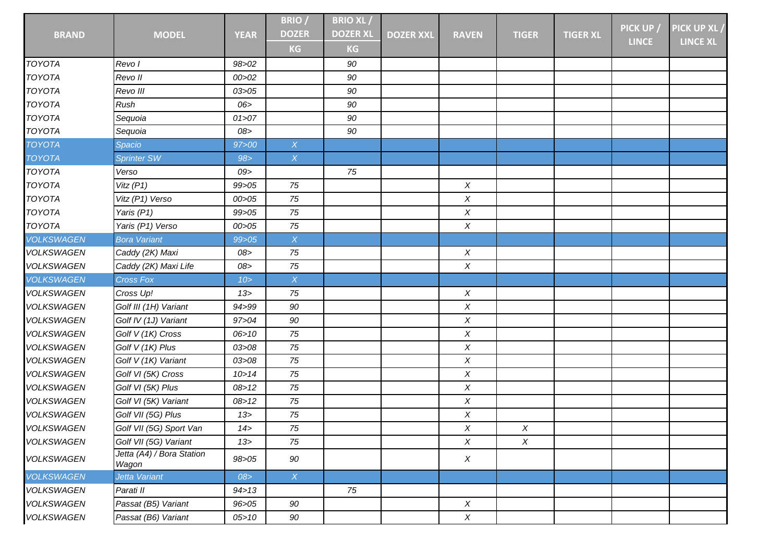|                   |                                    |                    | <b>BRIO</b> /    | <b>BRIO XL/</b> |                  |                  |              |                 |              |                 |
|-------------------|------------------------------------|--------------------|------------------|-----------------|------------------|------------------|--------------|-----------------|--------------|-----------------|
| <b>BRAND</b>      | <b>MODEL</b>                       | <b>YEAR</b>        | <b>DOZER</b>     | <b>DOZER XL</b> | <b>DOZER XXL</b> | <b>RAVEN</b>     | <b>TIGER</b> | <b>TIGER XL</b> | PICK UP /    | PICK UP XL /    |
|                   |                                    |                    | KG               | KG              |                  |                  |              |                 | <b>LINCE</b> | <b>LINCE XL</b> |
| <b>TOYOTA</b>     | Revo I                             | 98 > 02            |                  | 90              |                  |                  |              |                 |              |                 |
| <b>TOYOTA</b>     | Revo II                            | 00 > 02            |                  | 90              |                  |                  |              |                 |              |                 |
| <b>TOYOTA</b>     | Revo III                           | 03 > 05            |                  | 90              |                  |                  |              |                 |              |                 |
| <b>TOYOTA</b>     | Rush                               | 06>                |                  | 90              |                  |                  |              |                 |              |                 |
| <b>TOYOTA</b>     | Sequoia                            | 01 > 07            |                  | 90              |                  |                  |              |                 |              |                 |
| <b>TOYOTA</b>     | Sequoia                            | 08>                |                  | 90              |                  |                  |              |                 |              |                 |
| <b>TOYOTA</b>     | Spacio                             | 97>00              | $\chi$           |                 |                  |                  |              |                 |              |                 |
| <b>TOYOTA</b>     | <b>Sprinter SW</b>                 | 98 >               | $\boldsymbol{X}$ |                 |                  |                  |              |                 |              |                 |
| <b>TOYOTA</b>     | Verso                              | 09 >               |                  | 75              |                  |                  |              |                 |              |                 |
| <b>TOYOTA</b>     | Vitz $(P1)$                        | 99>05              | 75               |                 |                  | $\chi$           |              |                 |              |                 |
| <b>TOYOTA</b>     | Vitz (P1) Verso                    | 00 > 05            | 75               |                 |                  | $\chi$           |              |                 |              |                 |
| <b>TOYOTA</b>     | Yaris (P1)                         | 99>05              | 75               |                 |                  | $\chi$           |              |                 |              |                 |
| <b>TOYOTA</b>     | Yaris (P1) Verso                   | 00 > 05            | 75               |                 |                  | $\chi$           |              |                 |              |                 |
| <b>VOLKSWAGEN</b> | <b>Bora Variant</b>                | 99 > 05            | $\boldsymbol{X}$ |                 |                  |                  |              |                 |              |                 |
| <b>VOLKSWAGEN</b> | Caddy (2K) Maxi                    | 08>                | 75               |                 |                  | $\chi$           |              |                 |              |                 |
| <b>VOLKSWAGEN</b> | Caddy (2K) Maxi Life               | 08>                | 75               |                 |                  | $\chi$           |              |                 |              |                 |
| <b>VOLKSWAGEN</b> | <b>Cross Fox</b>                   | 10 <sub>&gt;</sub> | $\boldsymbol{X}$ |                 |                  |                  |              |                 |              |                 |
| <b>VOLKSWAGEN</b> | Cross Up!                          | 13 >               | 75               |                 |                  | $\chi$           |              |                 |              |                 |
| <b>VOLKSWAGEN</b> | Golf III (1H) Variant              | 94>99              | 90               |                 |                  | $\boldsymbol{X}$ |              |                 |              |                 |
| <b>VOLKSWAGEN</b> | Golf IV (1J) Variant               | 97>04              | 90               |                 |                  | $\chi$           |              |                 |              |                 |
| VOLKSWAGEN        | Golf V (1K) Cross                  | 06 > 10            | 75               |                 |                  | $\chi$           |              |                 |              |                 |
| <b>VOLKSWAGEN</b> | Golf V (1K) Plus                   | 03>08              | 75               |                 |                  | $\boldsymbol{X}$ |              |                 |              |                 |
| <b>VOLKSWAGEN</b> | Golf V (1K) Variant                | 03>08              | 75               |                 |                  | $\chi$           |              |                 |              |                 |
| <b>VOLKSWAGEN</b> | Golf VI (5K) Cross                 | 10 > 14            | 75               |                 |                  | $\chi$           |              |                 |              |                 |
| VOLKSWAGEN        | Golf VI (5K) Plus                  | 08 > 12            | 75               |                 |                  | $\chi$           |              |                 |              |                 |
| VOLKSWAGEN        | Golf VI (5K) Variant               | 08 > 12            | 75               |                 |                  | $\boldsymbol{X}$ |              |                 |              |                 |
| <b>VOLKSWAGEN</b> | Golf VII (5G) Plus                 | 13 >               | 75               |                 |                  | $\chi$           |              |                 |              |                 |
| VOLKSWAGEN        | Golf VII (5G) Sport Van            | 14 >               | 75               |                 |                  | $\chi$           | $\chi$       |                 |              |                 |
| VOLKSWAGEN        | Golf VII (5G) Variant              | 13 >               | 75               |                 |                  | $\chi$           | $\chi$       |                 |              |                 |
| VOLKSWAGEN        | Jetta (A4) / Bora Station<br>Wagon | 98 > 05            | 90               |                 |                  | $\chi$           |              |                 |              |                 |
| <b>VOLKSWAGEN</b> | Jetta Variant                      | 08 >               | X                |                 |                  |                  |              |                 |              |                 |
| VOLKSWAGEN        | Parati II                          | 94 > 13            |                  | 75              |                  |                  |              |                 |              |                 |
| VOLKSWAGEN        | Passat (B5) Variant                | 96 > 05            | 90               |                 |                  | $\chi$           |              |                 |              |                 |
| VOLKSWAGEN        | Passat (B6) Variant                | 05 > 10            | 90               |                 |                  | $\chi$           |              |                 |              |                 |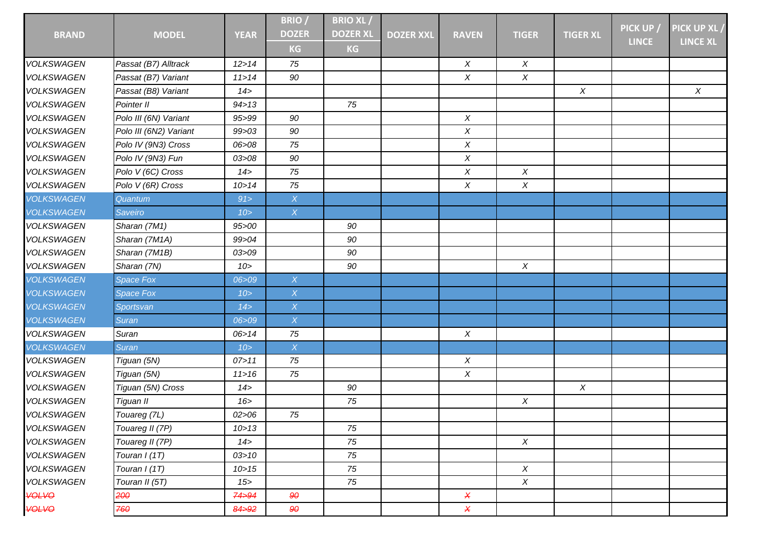|                   |                        |                    | BRIO/            | <b>BRIO XL/</b> |                  |                |                |                 |              |                 |
|-------------------|------------------------|--------------------|------------------|-----------------|------------------|----------------|----------------|-----------------|--------------|-----------------|
| <b>BRAND</b>      | <b>MODEL</b>           | <b>YEAR</b>        | <b>DOZER</b>     | <b>DOZER XL</b> | <b>DOZER XXL</b> | <b>RAVEN</b>   | <b>TIGER</b>   | <b>TIGER XL</b> | PICK UP /    | PICK UP XL /    |
|                   |                        |                    | <b>KG</b>        | KG              |                  |                |                |                 | <b>LINCE</b> | <b>LINCE XL</b> |
| VOLKSWAGEN        | Passat (B7) Alltrack   | 12 > 14            | 75               |                 |                  | $\chi$         | X              |                 |              |                 |
| VOLKSWAGEN        | Passat (B7) Variant    | 11 > 14            | 90               |                 |                  | $\chi$         | $\chi$         |                 |              |                 |
| VOLKSWAGEN        | Passat (B8) Variant    | 14 >               |                  |                 |                  |                |                | $\chi$          |              | $\chi$          |
| <b>VOLKSWAGEN</b> | Pointer II             | 94 > 13            |                  | 75              |                  |                |                |                 |              |                 |
| <b>VOLKSWAGEN</b> | Polo III (6N) Variant  | 95>99              | 90               |                 |                  | $\chi$         |                |                 |              |                 |
| <b>VOLKSWAGEN</b> | Polo III (6N2) Variant | 99 > 03            | 90               |                 |                  | $\chi$         |                |                 |              |                 |
| <b>VOLKSWAGEN</b> | Polo IV (9N3) Cross    | 06>08              | 75               |                 |                  | $\chi$         |                |                 |              |                 |
| <b>VOLKSWAGEN</b> | Polo IV (9N3) Fun      | 03>08              | 90               |                 |                  | X              |                |                 |              |                 |
| <b>VOLKSWAGEN</b> | Polo V (6C) Cross      | 14 >               | 75               |                 |                  | $\chi$         | $\chi$         |                 |              |                 |
| <b>VOLKSWAGEN</b> | Polo V (6R) Cross      | 10 > 14            | 75               |                 |                  | $\chi$         | $\pmb{\times}$ |                 |              |                 |
| <b>VOLKSWAGEN</b> | Quantum                | 91                 | $\boldsymbol{X}$ |                 |                  |                |                |                 |              |                 |
| <b>VOLKSWAGEN</b> | Saveiro                | 10 <sub>&gt;</sub> | $\boldsymbol{X}$ |                 |                  |                |                |                 |              |                 |
| <b>VOLKSWAGEN</b> | Sharan (7M1)           | 95>00              |                  | 90              |                  |                |                |                 |              |                 |
| <b>VOLKSWAGEN</b> | Sharan (7M1A)          | 99>04              |                  | 90              |                  |                |                |                 |              |                 |
| <b>VOLKSWAGEN</b> | Sharan (7M1B)          | 03 > 09            |                  | 90              |                  |                |                |                 |              |                 |
| <b>VOLKSWAGEN</b> | Sharan (7N)            | 10 >               |                  | 90              |                  |                | $\chi$         |                 |              |                 |
| <b>VOLKSWAGEN</b> | Space Fox              | 06>09              | $\boldsymbol{X}$ |                 |                  |                |                |                 |              |                 |
| <b>VOLKSWAGEN</b> | <b>Space Fox</b>       | 10 <sub>&gt;</sub> | $\boldsymbol{X}$ |                 |                  |                |                |                 |              |                 |
| <b>VOLKSWAGEN</b> | Sportsvan              | 14>                | $\boldsymbol{X}$ |                 |                  |                |                |                 |              |                 |
| <b>VOLKSWAGEN</b> | <b>Suran</b>           | 06>09              | $\boldsymbol{X}$ |                 |                  |                |                |                 |              |                 |
| <b>VOLKSWAGEN</b> | Suran                  | 06 > 14            | 75               |                 |                  | $\chi$         |                |                 |              |                 |
| <b>VOLKSWAGEN</b> | Suran                  | 10 <sub>&gt;</sub> | $\boldsymbol{X}$ |                 |                  |                |                |                 |              |                 |
| VOLKSWAGEN        | Tiguan (5N)            | 07 > 11            | 75               |                 |                  | $\chi$         |                |                 |              |                 |
| <b>VOLKSWAGEN</b> | Tiguan (5N)            | 11 > 16            | 75               |                 |                  | $\chi$         |                |                 |              |                 |
| VOLKSWAGEN        | Tiguan (5N) Cross      | 14 >               |                  | 90              |                  |                |                | $\chi$          |              |                 |
| <b>VOLKSWAGEN</b> | Tiguan II              | 16 <sub>5</sub>    |                  | 75              |                  |                | $\chi$         |                 |              |                 |
| <b>VOLKSWAGEN</b> | Touareg (7L)           | 02 > 06            | 75               |                 |                  |                |                |                 |              |                 |
| VOLKSWAGEN        | Touareg II (7P)        | 10 > 13            |                  | 75              |                  |                |                |                 |              |                 |
| VOLKSWAGEN        | Touareg II (7P)        | 14 >               |                  | 75              |                  |                | $\chi$         |                 |              |                 |
| VOLKSWAGEN        | Touran $I(1T)$         | 03 > 10            |                  | 75              |                  |                |                |                 |              |                 |
| VOLKSWAGEN        | Touran I (1T)          | 10 > 15            |                  | 75              |                  |                | $\chi$         |                 |              |                 |
| VOLKSWAGEN        | Touran II (5T)         | 15                 |                  | 75              |                  |                | $\chi$         |                 |              |                 |
| <b>VOLVO</b>      | 200                    | 74>94              | 90               |                 |                  | $\pmb{\times}$ |                |                 |              |                 |
| <b>VOLVO</b>      | 760                    | 84 > 92            | 90               |                 |                  | $\chi$         |                |                 |              |                 |